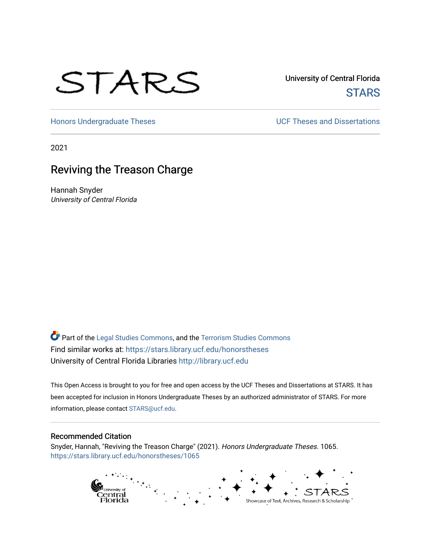

University of Central Florida **STARS** 

[Honors Undergraduate Theses](https://stars.library.ucf.edu/honorstheses) **Exercise 2 and Serverse** UCF Theses and Dissertations

2021

# Reviving the Treason Charge

Hannah Snyder University of Central Florida

Part of the [Legal Studies Commons,](http://network.bepress.com/hgg/discipline/366?utm_source=stars.library.ucf.edu%2Fhonorstheses%2F1065&utm_medium=PDF&utm_campaign=PDFCoverPages) and the [Terrorism Studies Commons](http://network.bepress.com/hgg/discipline/1389?utm_source=stars.library.ucf.edu%2Fhonorstheses%2F1065&utm_medium=PDF&utm_campaign=PDFCoverPages)  Find similar works at: <https://stars.library.ucf.edu/honorstheses> University of Central Florida Libraries [http://library.ucf.edu](http://library.ucf.edu/) 

This Open Access is brought to you for free and open access by the UCF Theses and Dissertations at STARS. It has been accepted for inclusion in Honors Undergraduate Theses by an authorized administrator of STARS. For more information, please contact [STARS@ucf.edu.](mailto:STARS@ucf.edu)

#### Recommended Citation

Snyder, Hannah, "Reviving the Treason Charge" (2021). Honors Undergraduate Theses. 1065. [https://stars.library.ucf.edu/honorstheses/1065](https://stars.library.ucf.edu/honorstheses/1065?utm_source=stars.library.ucf.edu%2Fhonorstheses%2F1065&utm_medium=PDF&utm_campaign=PDFCoverPages)

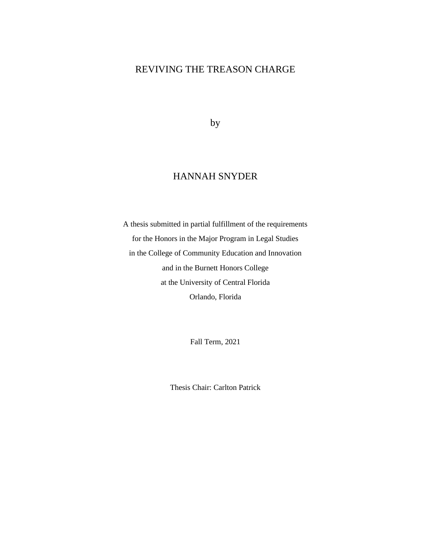# REVIVING THE TREASON CHARGE

by

# HANNAH SNYDER

A thesis submitted in partial fulfillment of the requirements for the Honors in the Major Program in Legal Studies in the College of Community Education and Innovation and in the Burnett Honors College at the University of Central Florida Orlando, Florida

Fall Term, 2021

Thesis Chair: Carlton Patrick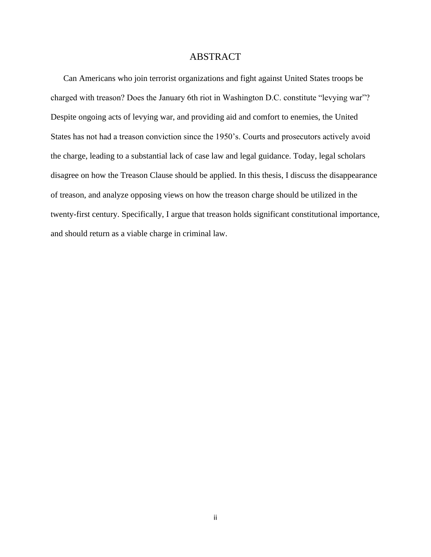## ABSTRACT

Can Americans who join terrorist organizations and fight against United States troops be charged with treason? Does the January 6th riot in Washington D.C. constitute "levying war"? Despite ongoing acts of levying war, and providing aid and comfort to enemies, the United States has not had a treason conviction since the 1950's. Courts and prosecutors actively avoid the charge, leading to a substantial lack of case law and legal guidance. Today, legal scholars disagree on how the Treason Clause should be applied. In this thesis, I discuss the disappearance of treason, and analyze opposing views on how the treason charge should be utilized in the twenty-first century. Specifically, I argue that treason holds significant constitutional importance, and should return as a viable charge in criminal law.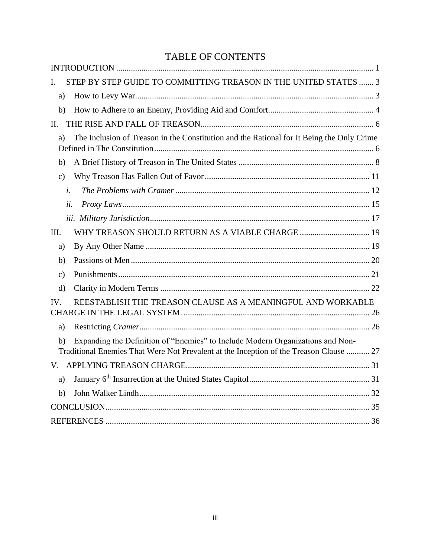# TABLE OF CONTENTS

| STEP BY STEP GUIDE TO COMMITTING TREASON IN THE UNITED STATES  3<br>L                                                                                                          |  |
|--------------------------------------------------------------------------------------------------------------------------------------------------------------------------------|--|
| a)                                                                                                                                                                             |  |
| b)                                                                                                                                                                             |  |
| II.                                                                                                                                                                            |  |
| The Inclusion of Treason in the Constitution and the Rational for It Being the Only Crime<br>a)                                                                                |  |
| b)                                                                                                                                                                             |  |
| $\mathbf{c})$                                                                                                                                                                  |  |
| i.                                                                                                                                                                             |  |
| ii.                                                                                                                                                                            |  |
|                                                                                                                                                                                |  |
| WHY TREASON SHOULD RETURN AS A VIABLE CHARGE  19<br>III.                                                                                                                       |  |
| a)                                                                                                                                                                             |  |
| b)                                                                                                                                                                             |  |
| $\mathbf{c})$                                                                                                                                                                  |  |
| $\mathbf{d}$                                                                                                                                                                   |  |
| REESTABLISH THE TREASON CLAUSE AS A MEANINGFUL AND WORKABLE<br>$\mathbf{IV}_{\cdot}$                                                                                           |  |
| a)                                                                                                                                                                             |  |
| Expanding the Definition of "Enemies" to Include Modern Organizations and Non-<br>b)<br>Traditional Enemies That Were Not Prevalent at the Inception of the Treason Clause  27 |  |
|                                                                                                                                                                                |  |
| a)                                                                                                                                                                             |  |
| b)                                                                                                                                                                             |  |
|                                                                                                                                                                                |  |
|                                                                                                                                                                                |  |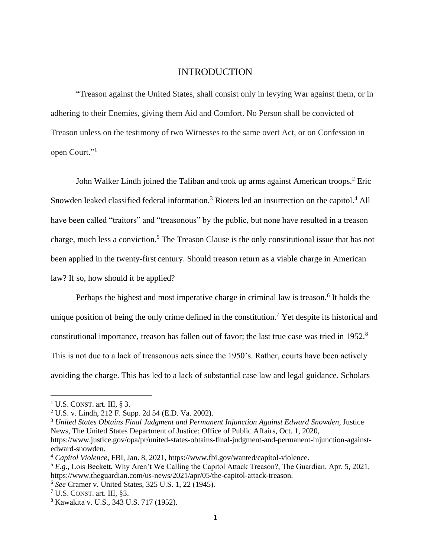#### INTRODUCTION

<span id="page-4-0"></span>"Treason against the United States, shall consist only in levying War against them, or in adhering to their Enemies, giving them Aid and Comfort. No Person shall be convicted of Treason unless on the testimony of two Witnesses to the same overt Act, or on Confession in open Court."<sup>1</sup>

John Walker Lindh joined the Taliban and took up arms against American troops.<sup>2</sup> Eric Snowden leaked classified federal information.<sup>3</sup> Rioters led an insurrection on the capitol.<sup>4</sup> All have been called "traitors" and "treasonous" by the public, but none have resulted in a treason charge, much less a conviction.<sup>5</sup> The Treason Clause is the only constitutional issue that has not been applied in the twenty-first century. Should treason return as a viable charge in American law? If so, how should it be applied?

Perhaps the highest and most imperative charge in criminal law is treason.<sup>6</sup> It holds the unique position of being the only crime defined in the constitution.<sup>7</sup> Yet despite its historical and constitutional importance, treason has fallen out of favor; the last true case was tried in 1952.<sup>8</sup> This is not due to a lack of treasonous acts since the 1950's. Rather, courts have been actively avoiding the charge. This has led to a lack of substantial case law and legal guidance. Scholars

 $1$  U.S. CONST. art. III,  $83$ .

<sup>2</sup> U.S. v. Lindh, 212 F. Supp. 2d 54 (E.D. Va. 2002).

<sup>3</sup> *United States Obtains Final Judgment and Permanent Injunction Against Edward Snowden*, Justice News, The United States Department of Justice: Office of Public Affairs, Oct. 1, 2020,

https://www.justice.gov/opa/pr/united-states-obtains-final-judgment-and-permanent-injunction-againstedward-snowden.

<sup>4</sup> *Capitol Violence*, FBI, Jan. 8, 2021, https://www.fbi.gov/wanted/capitol-violence.

<sup>&</sup>lt;sup>5</sup> E.g., Lois Beckett, Why Aren't We Calling the Capitol Attack Treason?, The Guardian, Apr. 5, 2021, https://www.theguardian.com/us-news/2021/apr/05/the-capitol-attack-treason.

<sup>6</sup> *See* Cramer v. United States, 325 U.S. 1, 22 (1945).

 $<sup>7</sup>$  U.S. CONST. art. III, §3.</sup>

<sup>8</sup> Kawakita v. U.S., 343 U.S. 717 (1952).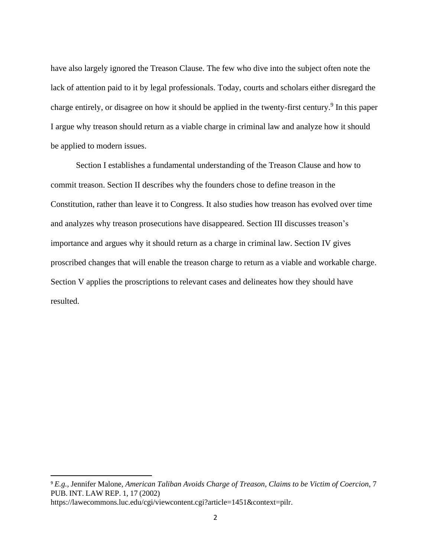have also largely ignored the Treason Clause. The few who dive into the subject often note the lack of attention paid to it by legal professionals. Today, courts and scholars either disregard the charge entirely, or disagree on how it should be applied in the twenty-first century.<sup>9</sup> In this paper I argue why treason should return as a viable charge in criminal law and analyze how it should be applied to modern issues.

Section I establishes a fundamental understanding of the Treason Clause and how to commit treason. Section II describes why the founders chose to define treason in the Constitution, rather than leave it to Congress. It also studies how treason has evolved over time and analyzes why treason prosecutions have disappeared. Section III discusses treason's importance and argues why it should return as a charge in criminal law. Section IV gives proscribed changes that will enable the treason charge to return as a viable and workable charge. Section V applies the proscriptions to relevant cases and delineates how they should have resulted.

<sup>9</sup> *E.g.*, Jennifer Malone, *American Taliban Avoids Charge of Treason, Claims to be Victim of Coercion*, 7 PUB. INT. LAW REP. 1, 17 (2002)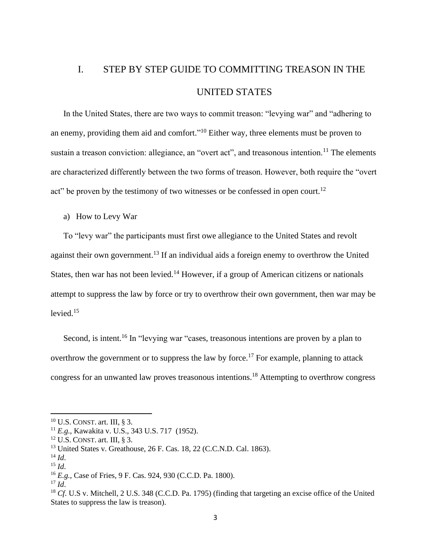# <span id="page-6-0"></span>I. STEP BY STEP GUIDE TO COMMITTING TREASON IN THE UNITED STATES

In the United States, there are two ways to commit treason: "levying war" and "adhering to an enemy, providing them aid and comfort."<sup>10</sup> Either way, three elements must be proven to sustain a treason conviction: allegiance, an "overt act", and treasonous intention.<sup>11</sup> The elements are characterized differently between the two forms of treason. However, both require the "overt act" be proven by the testimony of two witnesses or be confessed in open court.<sup>12</sup>

<span id="page-6-1"></span>a) How to Levy War

To "levy war" the participants must first owe allegiance to the United States and revolt against their own government.<sup>13</sup> If an individual aids a foreign enemy to overthrow the United States, then war has not been levied.<sup>14</sup> However, if a group of American citizens or nationals attempt to suppress the law by force or try to overthrow their own government, then war may be levied. $15$ 

Second, is intent.<sup>16</sup> In "levying war "cases, treasonous intentions are proven by a plan to overthrow the government or to suppress the law by force.<sup>17</sup> For example, planning to attack congress for an unwanted law proves treasonous intentions. <sup>18</sup> Attempting to overthrow congress

<sup>10</sup> U.S. CONST. art. III, § 3.

<sup>11</sup> *E.g.*, Kawakita v. U.S., 343 U.S. 717 (1952).

 $12$  U.S. CONST. art. III, § 3.

<sup>13</sup> United States v. Greathouse, 26 F. Cas. 18, 22 (C.C.N.D. Cal. 1863).

 $^{14}$  *Id.* 

 $^{15}$  *Id*.

<sup>16</sup> *E.g.*, Case of Fries, 9 F. Cas. 924, 930 (C.C.D. Pa. 1800).

 $17$  *Id.* 

<sup>18</sup> *Cf*. U.S v. Mitchell, 2 U.S. 348 (C.C.D. Pa. 1795) (finding that targeting an excise office of the United States to suppress the law is treason).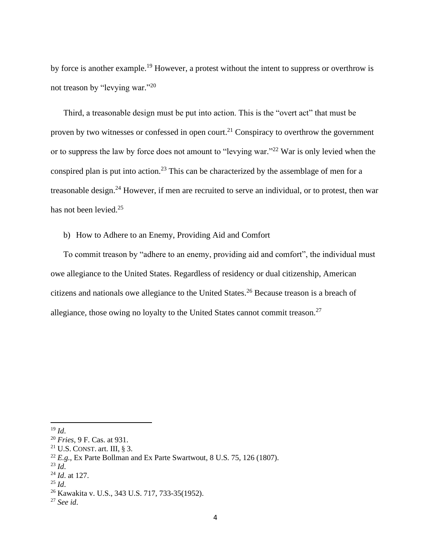by force is another example.<sup>19</sup> However, a protest without the intent to suppress or overthrow is not treason by "levying war."<sup>20</sup>

Third, a treasonable design must be put into action. This is the "overt act" that must be proven by two witnesses or confessed in open court.<sup>21</sup> Conspiracy to overthrow the government or to suppress the law by force does not amount to "levying war."<sup>22</sup> War is only levied when the conspired plan is put into action.<sup>23</sup> This can be characterized by the assemblage of men for a treasonable design.<sup>24</sup> However, if men are recruited to serve an individual, or to protest, then war has not been levied.<sup>25</sup>

<span id="page-7-0"></span>b) How to Adhere to an Enemy, Providing Aid and Comfort

To commit treason by "adhere to an enemy, providing aid and comfort", the individual must owe allegiance to the United States. Regardless of residency or dual citizenship, American citizens and nationals owe allegiance to the United States.<sup>26</sup> Because treason is a breach of allegiance, those owing no loyalty to the United States cannot commit treason.<sup>27</sup>

 $19$  *Id.* 

<sup>20</sup> *Fries*, 9 F. Cas. at 931.

<sup>&</sup>lt;sup>21</sup> U.S. CONST. art. III,  $\S$  3.

<sup>&</sup>lt;sup>22</sup>  $E.g.,$  Ex Parte Bollman and Ex Parte Swartwout, 8 U.S. 75, 126 (1807).

 $^{23}$  *Id.* 

<sup>24</sup> *Id*. at 127.

<sup>25</sup> *Id*.

<sup>26</sup> Kawakita v. U.S., 343 U.S. 717, 733-35(1952).

<sup>27</sup> *See id*.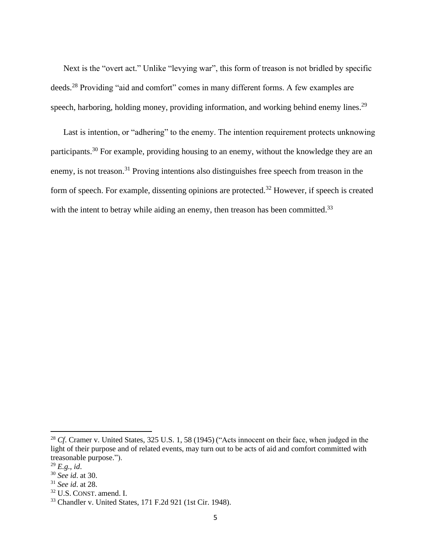Next is the "overt act." Unlike "levying war", this form of treason is not bridled by specific deeds.<sup>28</sup> Providing "aid and comfort" comes in many different forms. A few examples are speech, harboring, holding money, providing information, and working behind enemy lines.<sup>29</sup>

Last is intention, or "adhering" to the enemy. The intention requirement protects unknowing participants.<sup>30</sup> For example, providing housing to an enemy, without the knowledge they are an enemy, is not treason.<sup>31</sup> Proving intentions also distinguishes free speech from treason in the form of speech. For example, dissenting opinions are protected.<sup>32</sup> However, if speech is created with the intent to betray while aiding an enemy, then treason has been committed.<sup>33</sup>

<sup>32</sup> U.S. CONST. amend. I.

<sup>&</sup>lt;sup>28</sup> *Cf*. Cramer v. United States, 325 U.S. 1, 58 (1945) ("Acts innocent on their face, when judged in the light of their purpose and of related events, may turn out to be acts of aid and comfort committed with treasonable purpose.").

<sup>29</sup> *E.g.*, *id*.

<sup>30</sup> *See id*. at 30.

<sup>31</sup> *See id*. at 28.

<sup>33</sup> Chandler v. United States, 171 F.2d 921 (1st Cir. 1948).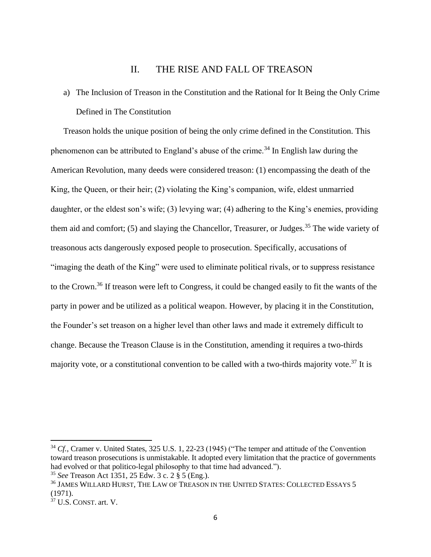# II. THE RISE AND FALL OF TREASON

<span id="page-9-1"></span><span id="page-9-0"></span>a) The Inclusion of Treason in the Constitution and the Rational for It Being the Only Crime Defined in The Constitution

Treason holds the unique position of being the only crime defined in the Constitution. This phenomenon can be attributed to England's abuse of the crime.<sup>34</sup> In English law during the American Revolution, many deeds were considered treason: (1) encompassing the death of the King, the Queen, or their heir; (2) violating the King's companion, wife, eldest unmarried daughter, or the eldest son's wife; (3) levying war; (4) adhering to the King's enemies, providing them aid and comfort; (5) and slaying the Chancellor, Treasurer, or Judges.<sup>35</sup> The wide variety of treasonous acts dangerously exposed people to prosecution. Specifically, accusations of "imaging the death of the King" were used to eliminate political rivals, or to suppress resistance to the Crown.<sup>36</sup> If treason were left to Congress, it could be changed easily to fit the wants of the party in power and be utilized as a political weapon. However, by placing it in the Constitution, the Founder's set treason on a higher level than other laws and made it extremely difficult to change. Because the Treason Clause is in the Constitution, amending it requires a two-thirds majority vote, or a constitutional convention to be called with a two-thirds majority vote.<sup>37</sup> It is

<sup>&</sup>lt;sup>34</sup> *Cf.*, Cramer v. United States, 325 U.S. 1, 22-23 (1945) ("The temper and attitude of the Convention toward treason prosecutions is unmistakable. It adopted every limitation that the practice of governments had evolved or that politico-legal philosophy to that time had advanced.").

<sup>35</sup> *See* Treason Act 1351, 25 Edw. 3 c. 2 § 5 (Eng.).

<sup>36</sup> JAMES WILLARD HURST, THE LAW OF TREASON IN THE UNITED STATES: COLLECTED ESSAYS 5 (1971).

<sup>37</sup> U.S. CONST. art. V.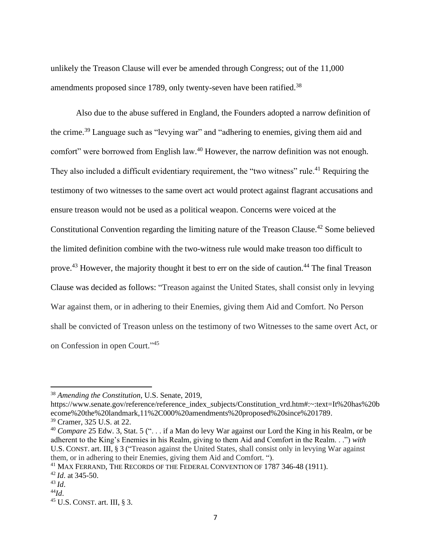unlikely the Treason Clause will ever be amended through Congress; out of the 11,000 amendments proposed since 1789, only twenty-seven have been ratified.<sup>38</sup>

Also due to the abuse suffered in England, the Founders adopted a narrow definition of the crime.<sup>39</sup> Language such as "levying war" and "adhering to enemies, giving them aid and comfort" were borrowed from English law.<sup>40</sup> However, the narrow definition was not enough. They also included a difficult evidentiary requirement, the "two witness" rule.<sup>41</sup> Requiring the testimony of two witnesses to the same overt act would protect against flagrant accusations and ensure treason would not be used as a political weapon. Concerns were voiced at the Constitutional Convention regarding the limiting nature of the Treason Clause.<sup>42</sup> Some believed the limited definition combine with the two-witness rule would make treason too difficult to prove.<sup>43</sup> However, the majority thought it best to err on the side of caution.<sup>44</sup> The final Treason Clause was decided as follows: "Treason against the United States, shall consist only in levying War against them, or in adhering to their Enemies, giving them Aid and Comfort. No Person shall be convicted of Treason unless on the testimony of two Witnesses to the same overt Act, or on Confession in open Court."<sup>45</sup>

https://www.senate.gov/reference/reference\_index\_subjects/Constitution\_vrd.htm#:~:text=It%20has%20b ecome%20the%20landmark,11%2C000%20amendments%20proposed%20since%201789.

<sup>38</sup> *Amending the Constitution*, U.S. Senate, 2019,

<sup>39</sup> Cramer, 325 U.S. at 22.

<sup>40</sup> *Compare* 25 Edw. 3, Stat. 5 (". . . if a Man do levy War against our Lord the King in his Realm, or be adherent to the King's Enemies in his Realm, giving to them Aid and Comfort in the Realm. . .") *with* U.S. CONST. art. III, § 3 ("Treason against the United States, shall consist only in levying War against them, or in adhering to their Enemies, giving them Aid and Comfort. ").

<sup>41</sup> MAX FERRAND, THE RECORDS OF THE FEDERAL CONVENTION OF 1787 346-48 (1911).

<sup>42</sup> *Id*. at 345-50.

<sup>43</sup> *Id*.

<sup>44</sup>*Id*.

 $45$  U.S. CONST. art. III, § 3.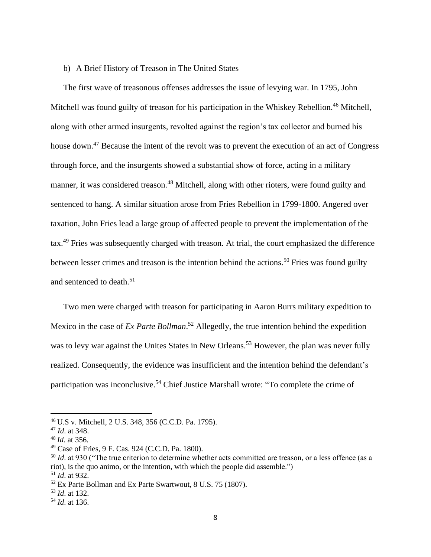#### <span id="page-11-0"></span>b) A Brief History of Treason in The United States

The first wave of treasonous offenses addresses the issue of levying war. In 1795, John Mitchell was found guilty of treason for his participation in the Whiskey Rebellion.<sup>46</sup> Mitchell, along with other armed insurgents, revolted against the region's tax collector and burned his house down.<sup>47</sup> Because the intent of the revolt was to prevent the execution of an act of Congress through force, and the insurgents showed a substantial show of force, acting in a military manner, it was considered treason.<sup>48</sup> Mitchell, along with other rioters, were found guilty and sentenced to hang. A similar situation arose from Fries Rebellion in 1799-1800. Angered over taxation, John Fries lead a large group of affected people to prevent the implementation of the tax.<sup>49</sup> Fries was subsequently charged with treason. At trial, the court emphasized the difference between lesser crimes and treason is the intention behind the actions.<sup>50</sup> Fries was found guilty and sentenced to death.<sup>51</sup>

Two men were charged with treason for participating in Aaron Burrs military expedition to Mexico in the case of *Ex Parte Bollman*. <sup>52</sup> Allegedly, the true intention behind the expedition was to levy war against the Unites States in New Orleans.<sup>53</sup> However, the plan was never fully realized. Consequently, the evidence was insufficient and the intention behind the defendant's participation was inconclusive.<sup>54</sup> Chief Justice Marshall wrote: "To complete the crime of

<sup>46</sup> U.S v. Mitchell, 2 U.S. 348, 356 (C.C.D. Pa. 1795).

<sup>47</sup> *Id*. at 348.

<sup>48</sup> *Id*. at 356.

<sup>49</sup> Case of Fries, 9 F. Cas. 924 (C.C.D. Pa. 1800).

<sup>&</sup>lt;sup>50</sup> *Id.* at 930 ("The true criterion to determine whether acts committed are treason, or a less offence (as a riot), is the quo animo, or the intention, with which the people did assemble.") <sup>51</sup> *Id*. at 932.

<sup>52</sup> Ex Parte Bollman and Ex Parte Swartwout, 8 U.S. 75 (1807).

<sup>53</sup> *Id*. at 132.

<sup>54</sup> *Id*. at 136.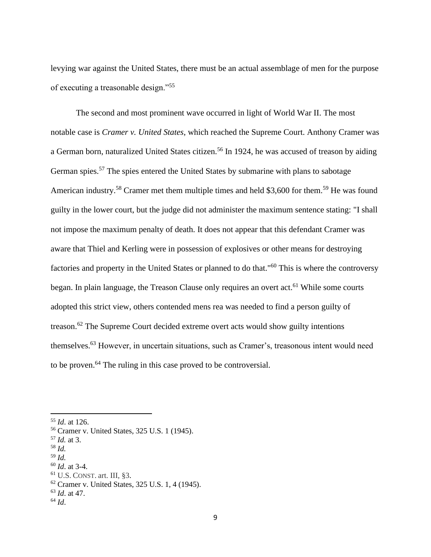levying war against the United States, there must be an actual assemblage of men for the purpose of executing a treasonable design."<sup>55</sup>

The second and most prominent wave occurred in light of World War II. The most notable case is *Cramer v. United States*, which reached the Supreme Court. Anthony Cramer was a German born, naturalized United States citizen.<sup>56</sup> In 1924, he was accused of treason by aiding German spies.<sup>57</sup> The spies entered the United States by submarine with plans to sabotage American industry.<sup>58</sup> Cramer met them multiple times and held \$3,600 for them.<sup>59</sup> He was found guilty in the lower court, but the judge did not administer the maximum sentence stating: "I shall not impose the maximum penalty of death. It does not appear that this defendant Cramer was aware that Thiel and Kerling were in possession of explosives or other means for destroying factories and property in the United States or planned to do that."<sup>60</sup> This is where the controversy began. In plain language, the Treason Clause only requires an overt act.<sup>61</sup> While some courts adopted this strict view, others contended mens rea was needed to find a person guilty of treason.<sup>62</sup> The Supreme Court decided extreme overt acts would show guilty intentions themselves.<sup>63</sup> However, in uncertain situations, such as Cramer's, treasonous intent would need to be proven.<sup>64</sup> The ruling in this case proved to be controversial.

- <sup>58</sup> *Id.*
- <sup>59</sup> *Id.*
- <sup>60</sup> *Id*. at 3-4.
- <sup>61</sup> U.S. CONST. art. III, §3.

<sup>63</sup> *Id*. at 47.

<sup>55</sup> *Id*. at 126.

<sup>56</sup> Cramer v. United States, 325 U.S. 1 (1945).

<sup>57</sup> *Id.* at 3.

<sup>62</sup> Cramer v. United States, 325 U.S. 1, 4 (1945).

 $64$  *Id.*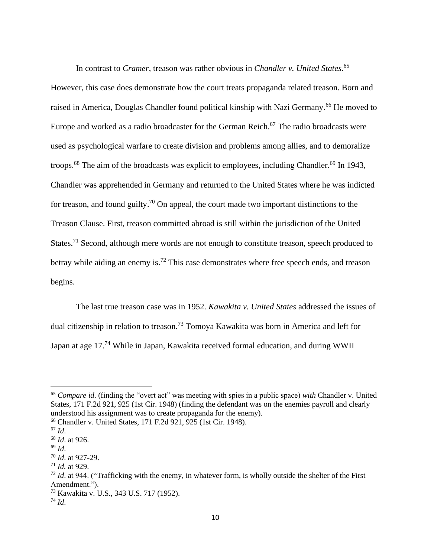In contrast to *Cramer*, treason was rather obvious in *Chandler v. United States*. 65 However, this case does demonstrate how the court treats propaganda related treason. Born and raised in America, Douglas Chandler found political kinship with Nazi Germany.<sup>66</sup> He moved to Europe and worked as a radio broadcaster for the German Reich.<sup>67</sup> The radio broadcasts were used as psychological warfare to create division and problems among allies, and to demoralize troops.<sup>68</sup> The aim of the broadcasts was explicit to employees, including Chandler.<sup>69</sup> In 1943, Chandler was apprehended in Germany and returned to the United States where he was indicted for treason, and found guilty.<sup>70</sup> On appeal, the court made two important distinctions to the Treason Clause. First, treason committed abroad is still within the jurisdiction of the United States.<sup>71</sup> Second, although mere words are not enough to constitute treason, speech produced to betray while aiding an enemy is.<sup>72</sup> This case demonstrates where free speech ends, and treason begins.

The last true treason case was in 1952. *Kawakita v. United States* addressed the issues of dual citizenship in relation to treason.<sup>73</sup> Tomoya Kawakita was born in America and left for Japan at age 17.<sup>74</sup> While in Japan, Kawakita received formal education, and during WWII

<sup>65</sup> *Compare id*. (finding the "overt act" was meeting with spies in a public space) *with* Chandler v. United States, 171 F.2d 921, 925 (1st Cir. 1948) (finding the defendant was on the enemies payroll and clearly understood his assignment was to create propaganda for the enemy).

<sup>66</sup> Chandler v. United States, 171 F.2d 921, 925 (1st Cir. 1948).

 $^{67}$  *Id.* 

<sup>68</sup> *Id*. at 926.

<sup>69</sup> *Id*.

<sup>70</sup> *Id*. at 927-29.

<sup>71</sup> *Id.* at 929.

<sup>&</sup>lt;sup>72</sup> *Id.* at 944. ("Trafficking with the enemy, in whatever form, is wholly outside the shelter of the First Amendment.").

<sup>73</sup> Kawakita v. U.S., 343 U.S. 717 (1952).

 $^{74}$  *Id.*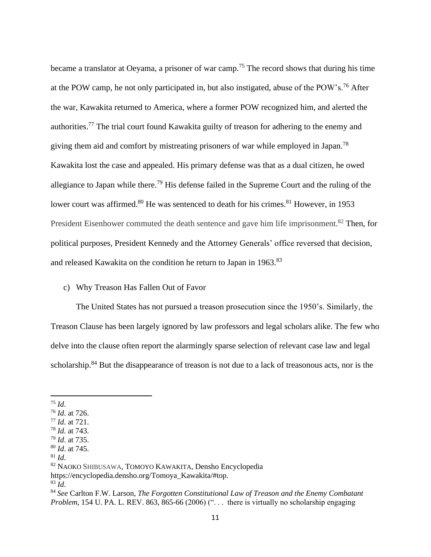became a translator at Oeyama, a prisoner of war camp.<sup>75</sup> The record shows that during his time at the POW camp, he not only participated in, but also instigated, abuse of the POW's.<sup>76</sup> After the war, Kawakita returned to America, where a former POW recognized him, and alerted the authorities.<sup>77</sup> The trial court found Kawakita guilty of treason for adhering to the enemy and giving them aid and comfort by mistreating prisoners of war while employed in Japan.<sup>78</sup> Kawakita lost the case and appealed. His primary defense was that as a dual citizen, he owed allegiance to Japan while there.<sup>79</sup> His defense failed in the Supreme Court and the ruling of the lower court was affirmed.<sup>80</sup> He was sentenced to death for his crimes.<sup>81</sup> However, in 1953 President Eisenhower commuted the death sentence and gave him life imprisonment.<sup>82</sup> Then, for political purposes, President Kennedy and the Attorney Generals' office reversed that decision, and released Kawakita on the condition he return to Japan in 1963.<sup>83</sup>

## <span id="page-14-0"></span>c) Why Treason Has Fallen Out of Favor

The United States has not pursued a treason prosecution since the 1950's. Similarly, the Treason Clause has been largely ignored by law professors and legal scholars alike. The few who delve into the clause often report the alarmingly sparse selection of relevant case law and legal scholarship.<sup>84</sup> But the disappearance of treason is not due to a lack of treasonous acts, nor is the

<sup>75</sup> *Id*.

<sup>76</sup> *Id*. at 726.

<sup>77</sup> *Id*. at 721.

<sup>78</sup> *Id.* at 743.

<sup>79</sup> *Id*. at 735.

<sup>80</sup> *Id*. at 745.

 $81$  *Id.* 

<sup>82</sup> NAOKO SHIBUSAWA, TOMOYO KAWAKITA, Densho Encyclopedia

https://encyclopedia.densho.org/Tomoya\_Kawakita/#top.

<sup>83</sup> *Id*.

<sup>84</sup> *See* Carlton F.W. Larson, *The Forgotten Constitutional Law of Treason and the Enemy Combatant Problem*, 154 U. PA. L. REV. 863, 865-66 (2006) ("... there is virtually no scholarship engaging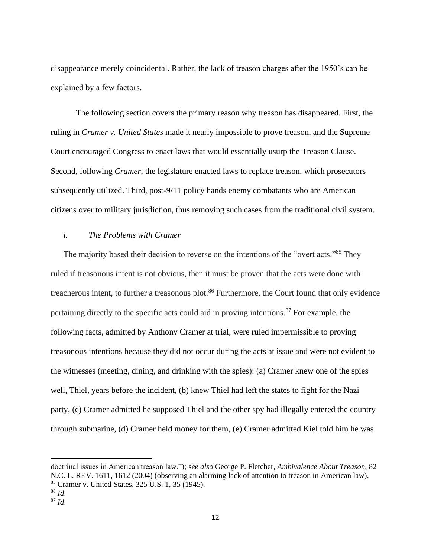disappearance merely coincidental. Rather, the lack of treason charges after the 1950's can be explained by a few factors.

The following section covers the primary reason why treason has disappeared. First, the ruling in *Cramer v. United States* made it nearly impossible to prove treason, and the Supreme Court encouraged Congress to enact laws that would essentially usurp the Treason Clause. Second, following *Cramer*, the legislature enacted laws to replace treason, which prosecutors subsequently utilized. Third, post-9/11 policy hands enemy combatants who are American citizens over to military jurisdiction, thus removing such cases from the traditional civil system.

#### <span id="page-15-0"></span>*i. The Problems with Cramer*

The majority based their decision to reverse on the intentions of the "overt acts."<sup>85</sup> They ruled if treasonous intent is not obvious, then it must be proven that the acts were done with treacherous intent, to further a treasonous plot.<sup>86</sup> Furthermore, the Court found that only evidence pertaining directly to the specific acts could aid in proving intentions.<sup>87</sup> For example, the following facts, admitted by Anthony Cramer at trial, were ruled impermissible to proving treasonous intentions because they did not occur during the acts at issue and were not evident to the witnesses (meeting, dining, and drinking with the spies): (a) Cramer knew one of the spies well, Thiel, years before the incident, (b) knew Thiel had left the states to fight for the Nazi party, (c) Cramer admitted he supposed Thiel and the other spy had illegally entered the country through submarine, (d) Cramer held money for them, (e) Cramer admitted Kiel told him he was

doctrinal issues in American treason law."); s*ee also* George P. Fletcher, *Ambivalence About Treason*, 82 N.C. L. REV. 1611, 1612 (2004) (observing an alarming lack of attention to treason in American law). <sup>85</sup> Cramer v. United States, 325 U.S. 1, 35 (1945).

<sup>86</sup> *Id*.

 $87$  *Id.*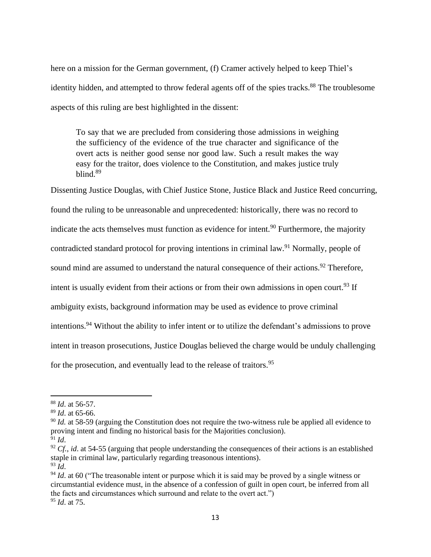here on a mission for the German government, (f) Cramer actively helped to keep Thiel's identity hidden, and attempted to throw federal agents off of the spies tracks.<sup>88</sup> The troublesome aspects of this ruling are best highlighted in the dissent:

To say that we are precluded from considering those admissions in weighing the sufficiency of the evidence of the true character and significance of the overt acts is neither good sense nor good law. Such a result makes the way easy for the traitor, does violence to the Constitution, and makes justice truly blind.<sup>89</sup>

Dissenting Justice Douglas, with Chief Justice Stone, Justice Black and Justice Reed concurring, found the ruling to be unreasonable and unprecedented: historically, there was no record to indicate the acts themselves must function as evidence for intent.<sup>90</sup> Furthermore, the majority contradicted standard protocol for proving intentions in criminal law.<sup>91</sup> Normally, people of sound mind are assumed to understand the natural consequence of their actions.<sup>92</sup> Therefore, intent is usually evident from their actions or from their own admissions in open court.<sup>93</sup> If ambiguity exists, background information may be used as evidence to prove criminal intentions.<sup>94</sup> Without the ability to infer intent or to utilize the defendant's admissions to prove intent in treason prosecutions, Justice Douglas believed the charge would be unduly challenging for the prosecution, and eventually lead to the release of traitors.<sup>95</sup>

<sup>88</sup> *Id*. at 56-57.

<sup>89</sup> *Id*. at 65-66.

<sup>&</sup>lt;sup>90</sup> *Id.* at 58-59 (arguing the Constitution does not require the two-witness rule be applied all evidence to proving intent and finding no historical basis for the Majorities conclusion).

 $^{91}$  *Id.* 

 $92 \text{ } Cf$ , *id.* at 54-55 (arguing that people understanding the consequences of their actions is an established staple in criminal law, particularly regarding treasonous intentions). <sup>93</sup> *Id*.

<sup>&</sup>lt;sup>94</sup> *Id*. at 60 ("The treasonable intent or purpose which it is said may be proved by a single witness or circumstantial evidence must, in the absence of a confession of guilt in open court, be inferred from all the facts and circumstances which surround and relate to the overt act.") <sup>95</sup> *Id*. at 75.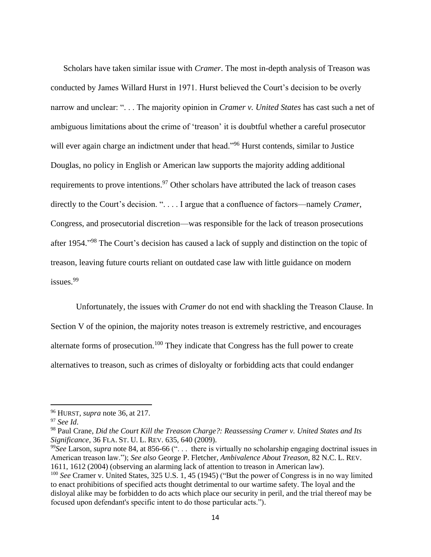Scholars have taken similar issue with *Cramer*. The most in-depth analysis of Treason was conducted by James Willard Hurst in 1971. Hurst believed the Court's decision to be overly narrow and unclear: ". . . The majority opinion in *Cramer v. United States* has cast such a net of ambiguous limitations about the crime of 'treason' it is doubtful whether a careful prosecutor will ever again charge an indictment under that head."<sup>96</sup> Hurst contends, similar to Justice Douglas, no policy in English or American law supports the majority adding additional requirements to prove intentions.<sup>97</sup> Other scholars have attributed the lack of treason cases directly to the Court's decision. ". . . . I argue that a confluence of factors—namely *Cramer*, Congress, and prosecutorial discretion—was responsible for the lack of treason prosecutions after 1954."<sup>98</sup> The Court's decision has caused a lack of supply and distinction on the topic of treason, leaving future courts reliant on outdated case law with little guidance on modern issues.<sup>99</sup>

Unfortunately, the issues with *Cramer* do not end with shackling the Treason Clause. In Section V of the opinion, the majority notes treason is extremely restrictive, and encourages alternate forms of prosecution.<sup>100</sup> They indicate that Congress has the full power to create alternatives to treason, such as crimes of disloyalty or forbidding acts that could endanger

<sup>96</sup> HURST, *supra* note 36, at 217.

<sup>97</sup> *See Id*.

<sup>98</sup> Paul Crane, *Did the Court Kill the Treason Charge?: Reassessing Cramer v. United States and Its Significance,* 36 FLA. ST. U. L. REV. 635, 640 (2009).

<sup>&</sup>lt;sup>99</sup>See Larson, *supra* note 84, at 856-66 ("... there is virtually no scholarship engaging doctrinal issues in American treason law."); *See also* George P. Fletcher, *Ambivalence About Treason*, 82 N.C. L. REV. 1611, 1612 (2004) (observing an alarming lack of attention to treason in American law).

<sup>&</sup>lt;sup>100</sup> See Cramer v. United States, 325 U.S. 1, 45 (1945) ("But the power of Congress is in no way limited to enact prohibitions of specified acts thought detrimental to our wartime safety. The loyal and the disloyal alike may be forbidden to do acts which place our security in peril, and the trial thereof may be focused upon defendant's specific intent to do those particular acts.").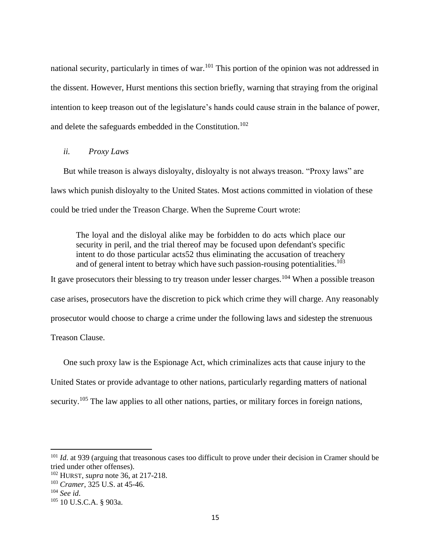national security, particularly in times of war.<sup>101</sup> This portion of the opinion was not addressed in the dissent. However, Hurst mentions this section briefly, warning that straying from the original intention to keep treason out of the legislature's hands could cause strain in the balance of power, and delete the safeguards embedded in the Constitution.<sup>102</sup>

## <span id="page-18-0"></span>*ii. Proxy Laws*

But while treason is always disloyalty, disloyalty is not always treason. "Proxy laws" are laws which punish disloyalty to the United States. Most actions committed in violation of these could be tried under the Treason Charge. When the Supreme Court wrote:

The loyal and the disloyal alike may be forbidden to do acts which place our security in peril, and the trial thereof may be focused upon defendant's specific intent to do those particular acts52 thus eliminating the accusation of treachery and of general intent to betray which have such passion-rousing potentialities.<sup>103</sup>

It gave prosecutors their blessing to try treason under lesser charges.<sup>104</sup> When a possible treason case arises, prosecutors have the discretion to pick which crime they will charge. Any reasonably prosecutor would choose to charge a crime under the following laws and sidestep the strenuous Treason Clause.

One such proxy law is the Espionage Act, which criminalizes acts that cause injury to the United States or provide advantage to other nations, particularly regarding matters of national security.<sup>105</sup> The law applies to all other nations, parties, or military forces in foreign nations,

<sup>&</sup>lt;sup>101</sup> *Id.* at 939 (arguing that treasonous cases too difficult to prove under their decision in Cramer should be tried under other offenses).

<sup>102</sup> HURST, *supra* note 36, at 217-218.

<sup>103</sup> *Cramer*, 325 U.S. at 45-46.

<sup>104</sup> *See id*.

<sup>105</sup> 10 U.S.C.A. § 903a.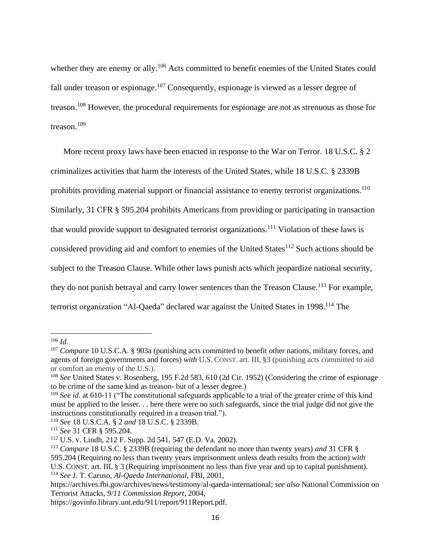whether they are enemy or ally.<sup>106</sup> Acts committed to benefit enemies of the United States could fall under treason or espionage.<sup>107</sup> Consequently, espionage is viewed as a lesser degree of treason.<sup>108</sup> However, the procedural requirements for espionage are not as strenuous as those for treason.<sup>109</sup>

More recent proxy laws have been enacted in response to the War on Terror. 18 U.S.C. § 2 criminalizes activities that harm the interests of the United States, while 18 U.S.C. § 2339B prohibits providing material support or financial assistance to enemy terrorist organizations.<sup>110</sup> Similarly, 31 CFR § 595.204 prohibits Americans from providing or participating in transaction that would provide support to designated terrorist organizations.<sup>111</sup> Violation of these laws is considered providing aid and comfort to enemies of the United States<sup>112</sup> Such actions should be subject to the Treason Clause. While other laws punish acts which jeopardize national security, they do not punish betrayal and carry lower sentences than the Treason Clause.<sup>113</sup> For example, terrorist organization "Al-Qaeda" declared war against the United States in 1998.<sup>114</sup> The

<sup>114</sup> *See* J. T. Caruso, *Al-Qaeda International*, FBI, 2001,

<sup>106</sup> *Id*.

<sup>&</sup>lt;sup>107</sup> *Compare* 10 U.S.C.A. § 903a (punishing acts committed to benefit other nations, military forces, and agents of foreign governments and forces) *with* U.S. CONST. art. III, §3 (punishing acts committed to aid or comfort an enemy of the U.S.).

<sup>&</sup>lt;sup>108</sup> *See* United States v. Rosenberg, 195 F.2d 583, 610 (2d Cir. 1952) (Considering the crime of espionage to be crime of the same kind as treason- but of a lesser degree.)

<sup>&</sup>lt;sup>109</sup> *See id.* at 610-11 ("The constitutional safeguards applicable to a trial of the greater crime of this kind must be applied to the lesser. . . here there were no such safeguards, since the trial judge did not give the instructions constitutionally required in a treason trial.").

<sup>110</sup> *See* 18 U.S.C.A. § 2 *and* 18 U.S.C. § 2339B.

<sup>111</sup> *See* 31 CFR § 595.204.

<sup>112</sup> U.S. v. Lindh, 212 F. Supp. 2d 541, 547 (E.D. Va. 2002).

<sup>113</sup> *Compare* 18 U.S.C. § 2339B (requiring the defendant no more than twenty years) *and* 31 CFR §

<sup>595.204 (</sup>Requiring no less than twenty years imprisonment unless death results from the action) *with* U.S. CONST. art. III, § 3 (Requiring imprisonment no less than five year and up to capital punishment).

https://archives.fbi.gov/archives/news/testimony/al-qaeda-international; *see also* National Commission on Terrorist Attacks, *9/11 Commission Report*, 2004,

https://govinfo.library.unt.edu/911/report/911Report.pdf.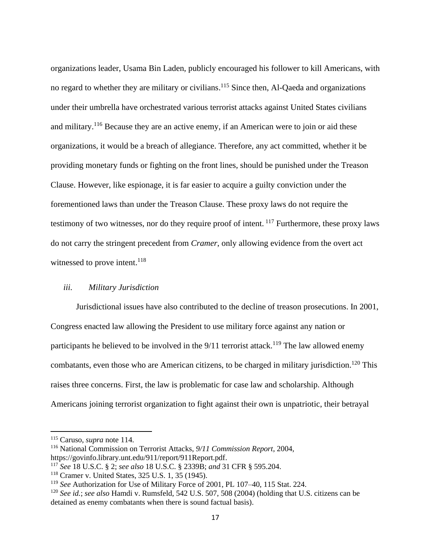organizations leader, Usama Bin Laden, publicly encouraged his follower to kill Americans, with no regard to whether they are military or civilians.<sup>115</sup> Since then, Al-Qaeda and organizations under their umbrella have orchestrated various terrorist attacks against United States civilians and military.<sup>116</sup> Because they are an active enemy, if an American were to join or aid these organizations, it would be a breach of allegiance. Therefore, any act committed, whether it be providing monetary funds or fighting on the front lines, should be punished under the Treason Clause. However, like espionage, it is far easier to acquire a guilty conviction under the forementioned laws than under the Treason Clause. These proxy laws do not require the testimony of two witnesses, nor do they require proof of intent. <sup>117</sup> Furthermore, these proxy laws do not carry the stringent precedent from *Cramer*, only allowing evidence from the overt act witnessed to prove intent.<sup>118</sup>

#### <span id="page-20-0"></span>*iii. Military Jurisdiction*

Jurisdictional issues have also contributed to the decline of treason prosecutions. In 2001, Congress enacted law allowing the President to use military force against any nation or participants he believed to be involved in the  $9/11$  terrorist attack.<sup>119</sup> The law allowed enemy combatants, even those who are American citizens, to be charged in military jurisdiction.<sup>120</sup> This raises three concerns. First, the law is problematic for case law and scholarship. Although Americans joining terrorist organization to fight against their own is unpatriotic, their betrayal

<sup>115</sup> Caruso, *supra* note 114.

<sup>116</sup> National Commission on Terrorist Attacks, *9/11 Commission Report*, 2004, https://govinfo.library.unt.edu/911/report/911Report.pdf.

<sup>117</sup> *See* 18 U.S.C. § 2; *see also* 18 U.S.C. § 2339B; *and* 31 CFR § 595.204.

<sup>118</sup> Cramer v. United States, 325 U.S. 1, 35 (1945).

<sup>119</sup> *See* Authorization for Use of Military Force of 2001, PL 107–40, 115 Stat. 224.

<sup>120</sup> *See id.*; *see also* Hamdi v. Rumsfeld, 542 U.S. 507, 508 (2004) (holding that U.S. citizens can be detained as enemy combatants when there is sound factual basis).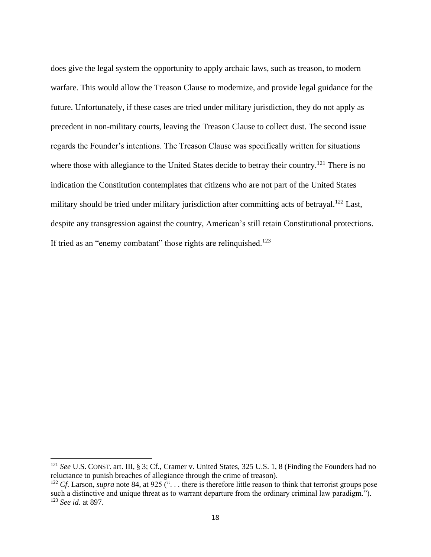does give the legal system the opportunity to apply archaic laws, such as treason, to modern warfare. This would allow the Treason Clause to modernize, and provide legal guidance for the future. Unfortunately, if these cases are tried under military jurisdiction, they do not apply as precedent in non-military courts, leaving the Treason Clause to collect dust. The second issue regards the Founder's intentions. The Treason Clause was specifically written for situations where those with allegiance to the United States decide to betray their country.<sup>121</sup> There is no indication the Constitution contemplates that citizens who are not part of the United States military should be tried under military jurisdiction after committing acts of betrayal.<sup>122</sup> Last, despite any transgression against the country, American's still retain Constitutional protections. If tried as an "enemy combatant" those rights are relinquished.<sup>123</sup>

<sup>&</sup>lt;sup>121</sup> *See* U.S. CONST. art. III, § 3; Cf., Cramer v. United States, 325 U.S. 1, 8 (Finding the Founders had no reluctance to punish breaches of allegiance through the crime of treason).

<sup>&</sup>lt;sup>122</sup> *Cf*. Larson, *supra* note 84, at 925 ("... there is therefore little reason to think that terrorist groups pose such a distinctive and unique threat as to warrant departure from the ordinary criminal law paradigm."). <sup>123</sup> *See id*. at 897.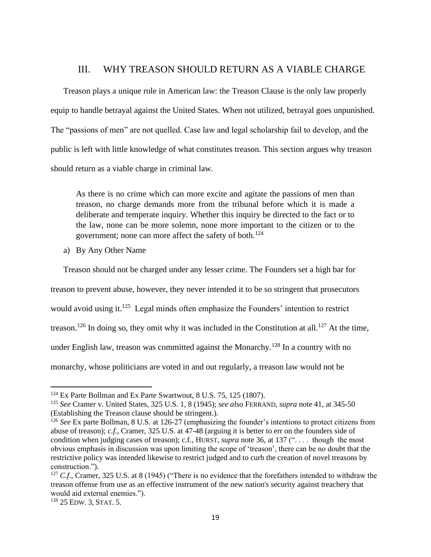## III. WHY TREASON SHOULD RETURN AS A VIABLE CHARGE

<span id="page-22-0"></span>Treason plays a unique role in American law: the Treason Clause is the only law properly equip to handle betrayal against the United States. When not utilized, betrayal goes unpunished. The "passions of men" are not quelled. Case law and legal scholarship fail to develop, and the public is left with little knowledge of what constitutes treason. This section argues why treason should return as a viable charge in criminal law.

As there is no crime which can more excite and agitate the passions of men than treason, no charge demands more from the tribunal before which it is made a deliberate and temperate inquiry. Whether this inquiry be directed to the fact or to the law, none can be more solemn, none more important to the citizen or to the government; none can more affect the safety of both.<sup>124</sup>

<span id="page-22-1"></span>a) By Any Other Name

Treason should not be charged under any lesser crime. The Founders set a high bar for treason to prevent abuse, however, they never intended it to be so stringent that prosecutors would avoid using it.<sup>125</sup> Legal minds often emphasize the Founders' intention to restrict treason.<sup>126</sup> In doing so, they omit why it was included in the Constitution at all.<sup>127</sup> At the time, under English law, treason was committed against the Monarchy.<sup>128</sup> In a country with no monarchy, whose politicians are voted in and out regularly, a treason law would not be

<sup>&</sup>lt;sup>124</sup> Ex Parte Bollman and Ex Parte Swartwout, 8 U.S. 75, 125 (1807).

<sup>125</sup> *See* Cramer v. United States, 325 U.S. 1, 8 (1945); *see also* FERRAND, *supra* note 41, at 345-50 (Establishing the Treason clause should be stringent.).

<sup>126</sup> *See* Ex parte Bollman, 8 U.S. at 126-27 (emphasizing the founder's intentions to protect citizens from abuse of treason); *c.f.*, Cramer, 325 U.S. at 47-48 (arguing it is better to err on the founders side of condition when judging cases of treason); c.f., HURST, *supra* note 36, at 137 (". . . . though the most obvious emphasis in discussion was upon limiting the scope of 'treason', there can be no doubt that the restrictive policy was intended likewise to restrict judged and to curb the creation of novel treasons by construction.").

<sup>&</sup>lt;sup>127</sup> *C.f.*, Cramer, 325 U.S. at 8 (1945) ("There is no evidence that the forefathers intended to withdraw the treason offense from use as an effective instrument of the new nation's security against treachery that would aid external enemies.").

<sup>128</sup> 25 EDW. 3, STAT. 5.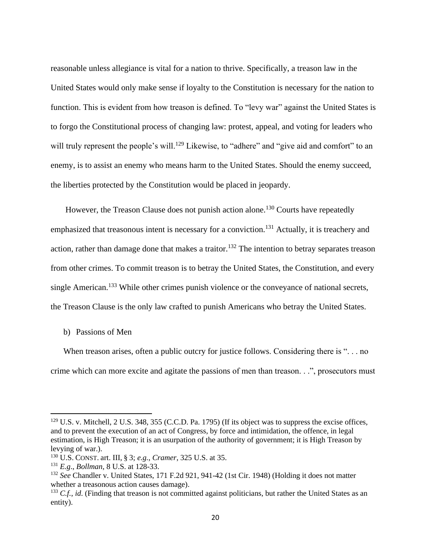reasonable unless allegiance is vital for a nation to thrive. Specifically, a treason law in the United States would only make sense if loyalty to the Constitution is necessary for the nation to function. This is evident from how treason is defined. To "levy war" against the United States is to forgo the Constitutional process of changing law: protest, appeal, and voting for leaders who will truly represent the people's will.<sup>129</sup> Likewise, to "adhere" and "give aid and comfort" to an enemy, is to assist an enemy who means harm to the United States. Should the enemy succeed, the liberties protected by the Constitution would be placed in jeopardy.

However, the Treason Clause does not punish action alone.<sup>130</sup> Courts have repeatedly emphasized that treasonous intent is necessary for a conviction.<sup>131</sup> Actually, it is treachery and action, rather than damage done that makes a traitor.<sup>132</sup> The intention to betray separates treason from other crimes. To commit treason is to betray the United States, the Constitution, and every single American.<sup>133</sup> While other crimes punish violence or the conveyance of national secrets, the Treason Clause is the only law crafted to punish Americans who betray the United States.

### <span id="page-23-0"></span>b) Passions of Men

When treason arises, often a public outcry for justice follows. Considering there is "... no crime which can more excite and agitate the passions of men than treason. . .", prosecutors must

<sup>129</sup> U.S. v. Mitchell, 2 U.S. 348, 355 (C.C.D. Pa. 1795) (If its object was to suppress the excise offices, and to prevent the execution of an act of Congress, by force and intimidation, the offence, in legal estimation, is High Treason; it is an usurpation of the authority of government; it is High Treason by levying of war.).

<sup>130</sup> U.S. CONST. art. III, § 3; *e.g.*, *Cramer*, 325 U.S. at 35.

<sup>131</sup> *E.g*., *Bollman*, 8 U.S. at 128-33.

<sup>132</sup> *See* Chandler v. United States, 171 F.2d 921, 941-42 (1st Cir. 1948) (Holding it does not matter whether a treasonous action causes damage).

<sup>&</sup>lt;sup>133</sup> *C.f.*, *id.* (Finding that treason is not committed against politicians, but rather the United States as an entity).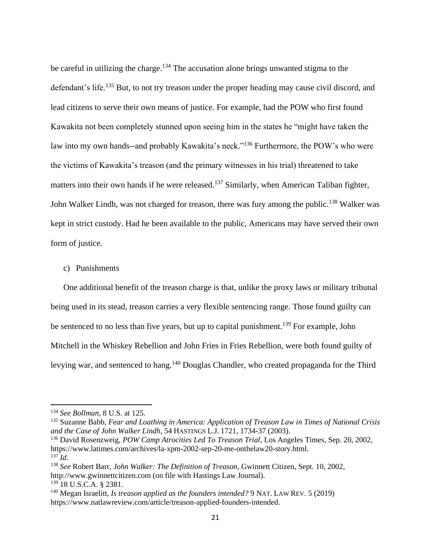be careful in utilizing the charge.<sup>134</sup> The accusation alone brings unwanted stigma to the defendant's life.<sup>135</sup> But, to not try treason under the proper heading may cause civil discord, and lead citizens to serve their own means of justice. For example, had the POW who first found Kawakita not been completely stunned upon seeing him in the states he "might have taken the law into my own hands--and probably Kawakita's neck."<sup>136</sup> Furthermore, the POW's who were the victims of Kawakita's treason (and the primary witnesses in his trial) threatened to take matters into their own hands if he were released.<sup>137</sup> Similarly, when American Taliban fighter, John Walker Lindh, was not charged for treason, there was fury among the public.<sup>138</sup> Walker was kept in strict custody. Had he been available to the public, Americans may have served their own form of justice.

<span id="page-24-0"></span>c) Punishments

One additional benefit of the treason charge is that, unlike the proxy laws or military tribunal being used in its stead, treason carries a very flexible sentencing range. Those found guilty can be sentenced to no less than five years, but up to capital punishment.<sup>139</sup> For example, John Mitchell in the Whiskey Rebellion and John Fries in Fries Rebellion, were both found guilty of levying war, and sentenced to hang.<sup>140</sup> Douglas Chandler, who created propaganda for the Third

<sup>134</sup> *See Bollman*, 8 U.S. at 125.

<sup>135</sup> Suzanne Babb, *Fear and Loathing in America: Application of Treason Law in Times of National Crisis and the Case of John Walker Lindh*, 54 HASTINGS L.J. 1721, 1734-37 (2003).

<sup>136</sup> David Rosenzweig, *POW Camp Atrocities Led To Treason Trial*, Los Angeles Times, Sep. 20, 2002, https://www.latimes.com/archives/la-xpm-2002-sep-20-me-onthelaw20-story.html. <sup>137</sup> *Id*.

<sup>138</sup> *See* Robert Barr, *John Walker: The Definition of Treason*, Gwinnett Citizen, Sept. 10, 2002, http://www.gwinnettcitizen.com (on file with Hastings Law Journal).

<sup>139</sup> 18 U.S.C.A. § 2381.

<sup>140</sup> Megan Israelitt, *Is treason applied as the founders intended?* 9 NAT. LAW REV. 5 (2019) https://www.natlawreview.com/article/treason-applied-founders-intended.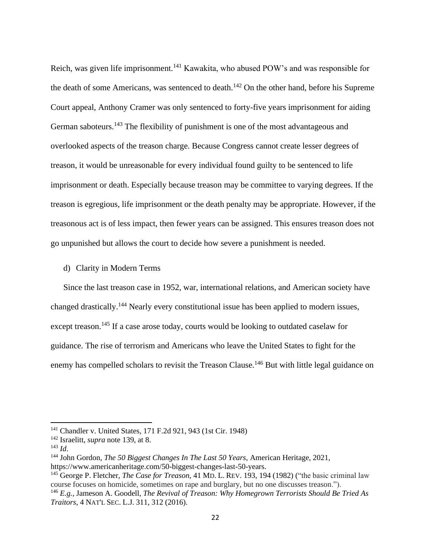Reich, was given life imprisonment.<sup>141</sup> Kawakita, who abused POW's and was responsible for the death of some Americans, was sentenced to death.<sup>142</sup> On the other hand, before his Supreme Court appeal, Anthony Cramer was only sentenced to forty-five years imprisonment for aiding German saboteurs.<sup>143</sup> The flexibility of punishment is one of the most advantageous and overlooked aspects of the treason charge. Because Congress cannot create lesser degrees of treason, it would be unreasonable for every individual found guilty to be sentenced to life imprisonment or death. Especially because treason may be committee to varying degrees. If the treason is egregious, life imprisonment or the death penalty may be appropriate. However, if the treasonous act is of less impact, then fewer years can be assigned. This ensures treason does not go unpunished but allows the court to decide how severe a punishment is needed.

<span id="page-25-0"></span>d) Clarity in Modern Terms

Since the last treason case in 1952, war, international relations, and American society have changed drastically.<sup>144</sup> Nearly every constitutional issue has been applied to modern issues, except treason.<sup>145</sup> If a case arose today, courts would be looking to outdated caselaw for guidance. The rise of terrorism and Americans who leave the United States to fight for the enemy has compelled scholars to revisit the Treason Clause.<sup>146</sup> But with little legal guidance on

<sup>141</sup> Chandler v. United States, 171 F.2d 921, 943 (1st Cir. 1948)

<sup>142</sup> Israelitt, *supra* note 139, at 8.

<sup>143</sup> *Id*.

<sup>144</sup> John Gordon, *The 50 Biggest Changes In The Last 50 Years,* American Heritage, 2021, https://www.americanheritage.com/50-biggest-changes-last-50-years.

<sup>145</sup> George P. Fletcher, *The Case for Treason*, 41 MD. L. REV. 193, 194 (1982) ("the basic criminal law course focuses on homicide, sometimes on rape and burglary, but no one discusses treason.").

<sup>146</sup> *E.g.*, Jameson A. Goodell, *The Revival of Treason: Why Homegrown Terrorists Should Be Tried As Traitors*, 4 NAT'L SEC. L.J. 311, 312 (2016).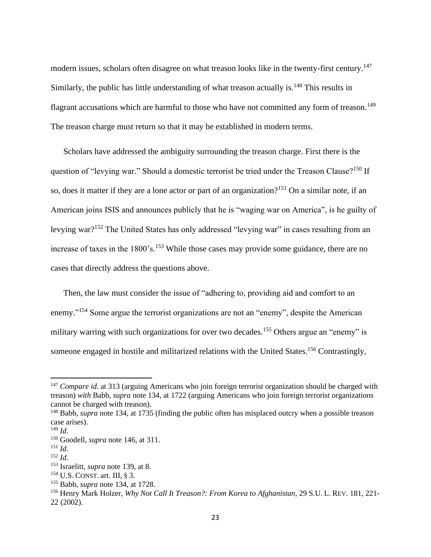modern issues, scholars often disagree on what treason looks like in the twenty-first century.<sup>147</sup> Similarly, the public has little understanding of what treason actually is. $148$  This results in flagrant accusations which are harmful to those who have not committed any form of treason.<sup>149</sup> The treason charge must return so that it may be established in modern terms.

Scholars have addressed the ambiguity surrounding the treason charge. First there is the question of "levying war." Should a domestic terrorist be tried under the Treason Clause?<sup>150</sup> If so, does it matter if they are a lone actor or part of an organization?<sup>151</sup> On a similar note, if an American joins ISIS and announces publicly that he is "waging war on America", is he guilty of levying war?<sup>152</sup> The United States has only addressed "levying war" in cases resulting from an increase of taxes in the 1800's.<sup>153</sup> While those cases may provide some guidance, there are no cases that directly address the questions above.

Then, the law must consider the issue of "adhering to, providing aid and comfort to an enemy."<sup>154</sup> Some argue the terrorist organizations are not an "enemy", despite the American military warring with such organizations for over two decades.<sup>155</sup> Others argue an "enemy" is someone engaged in hostile and militarized relations with the United States.<sup>156</sup> Contrastingly,

<sup>&</sup>lt;sup>147</sup> *Compare id.* at 313 (arguing Americans who join foreign terrorist organization should be charged with treason) *with* Babb, *supra* note 134, at 1722 (arguing Americans who join foreign terrorist organizations cannot be charged with treason).

<sup>148</sup> Babb, *supra* note 134, at 1735 (finding the public often has misplaced outcry when a possible treason case arises).

 $^{149}$  *Id.* 

<sup>150</sup> Goodell, *supra* note 146, at 311.

<sup>151</sup> *Id*.

<sup>152</sup> *Id*.

<sup>153</sup> Israelitt, *supra* note 139, at 8.

<sup>154</sup> U.S. CONST. art. III, § 3.

<sup>155</sup> Babb, *supra* note 134, at 1728.

<sup>156</sup> Henry Mark Holzer, *Why Not Call It Treason?: From Korea to Afghanistan*, 29 S.U. L. REV. 181, 221- 22 (2002).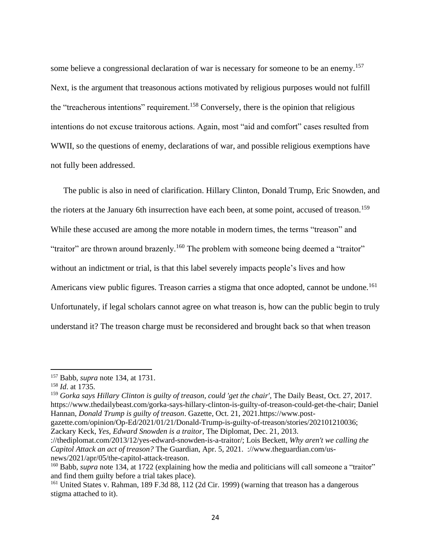some believe a congressional declaration of war is necessary for someone to be an enemy.<sup>157</sup> Next, is the argument that treasonous actions motivated by religious purposes would not fulfill the "treacherous intentions" requirement.<sup>158</sup> Conversely, there is the opinion that religious intentions do not excuse traitorous actions. Again, most "aid and comfort" cases resulted from WWII, so the questions of enemy, declarations of war, and possible religious exemptions have not fully been addressed.

The public is also in need of clarification. Hillary Clinton, Donald Trump, Eric Snowden, and the rioters at the January 6th insurrection have each been, at some point, accused of treason.<sup>159</sup> While these accused are among the more notable in modern times, the terms "treason" and "traitor" are thrown around brazenly.<sup>160</sup> The problem with someone being deemed a "traitor" without an indictment or trial, is that this label severely impacts people's lives and how Americans view public figures. Treason carries a stigma that once adopted, cannot be undone.<sup>161</sup> Unfortunately, if legal scholars cannot agree on what treason is, how can the public begin to truly understand it? The treason charge must be reconsidered and brought back so that when treason

<sup>159</sup> *Gorka says Hillary Clinton is guilty of treason, could 'get the chair'*, The Daily Beast, Oct. 27, 2017. https://www.thedailybeast.com/gorka-says-hillary-clinton-is-guilty-of-treason-could-get-the-chair; Daniel Hannan*, Donald Trump is guilty of treason*. Gazette, Oct. 21, 2021.https://www.post-

<sup>157</sup> Babb, *supra* note 134, at 1731.

<sup>158</sup> *Id*. at 1735.

gazette.com/opinion/Op-Ed/2021/01/21/Donald-Trump-is-guilty-of-treason/stories/202101210036; Zackary Keck, *Yes, Edward Snowden is a traitor*, The Diplomat, Dec. 21, 2013.

<sup>://</sup>thediplomat.com/2013/12/yes-edward-snowden-is-a-traitor/; Lois Beckett, *Why aren't we calling the Capitol Attack an act of treason?* The Guardian, Apr. 5, 2021. ://www.theguardian.com/usnews/2021/apr/05/the-capitol-attack-treason.

<sup>&</sup>lt;sup>160</sup> Babb, *supra* note 134, at 1722 (explaining how the media and politicians will call someone a "traitor" and find them guilty before a trial takes place).

<sup>161</sup> United States v. Rahman, 189 F.3d 88, 112 (2d Cir. 1999) (warning that treason has a dangerous stigma attached to it).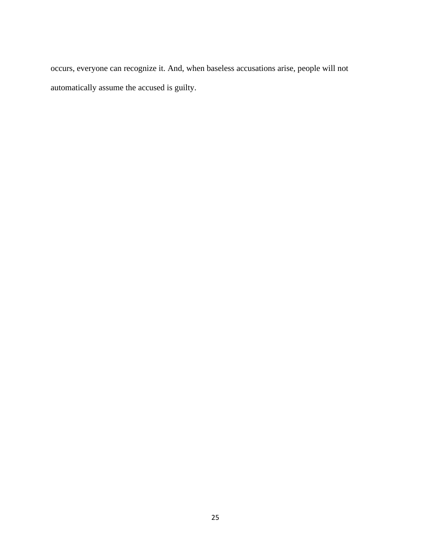occurs, everyone can recognize it. And, when baseless accusations arise, people will not automatically assume the accused is guilty.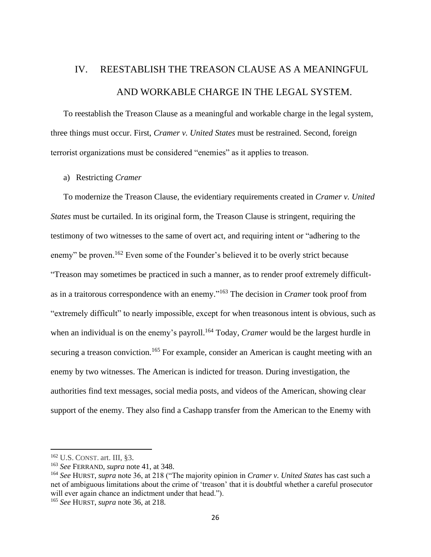# <span id="page-29-0"></span>IV. REESTABLISH THE TREASON CLAUSE AS A MEANINGFUL AND WORKABLE CHARGE IN THE LEGAL SYSTEM.

To reestablish the Treason Clause as a meaningful and workable charge in the legal system, three things must occur. First, *Cramer v. United States* must be restrained. Second, foreign terrorist organizations must be considered "enemies" as it applies to treason.

#### <span id="page-29-1"></span>a) Restricting *Cramer*

To modernize the Treason Clause, the evidentiary requirements created in *Cramer v. United States* must be curtailed. In its original form, the Treason Clause is stringent, requiring the testimony of two witnesses to the same of overt act, and requiring intent or "adhering to the enemy" be proven.<sup>162</sup> Even some of the Founder's believed it to be overly strict because "Treason may sometimes be practiced in such a manner, as to render proof extremely difficultas in a traitorous correspondence with an enemy." <sup>163</sup> The decision in *Cramer* took proof from "extremely difficult" to nearly impossible, except for when treasonous intent is obvious, such as when an individual is on the enemy's payroll. <sup>164</sup> Today, *Cramer* would be the largest hurdle in securing a treason conviction.<sup>165</sup> For example, consider an American is caught meeting with an enemy by two witnesses. The American is indicted for treason. During investigation, the authorities find text messages, social media posts, and videos of the American, showing clear support of the enemy. They also find a Cashapp transfer from the American to the Enemy with

<sup>162</sup> U.S. CONST. art. III, §3.

<sup>163</sup> *See* FERRAND, *supra* note 41, at 348.

<sup>164</sup> *See* HURST, *supra* note 36, at 218 ("The majority opinion in *Cramer v. United States* has cast such a net of ambiguous limitations about the crime of 'treason' that it is doubtful whether a careful prosecutor will ever again chance an indictment under that head.").

<sup>165</sup> *See* HURST, *supra* note 36, at 218.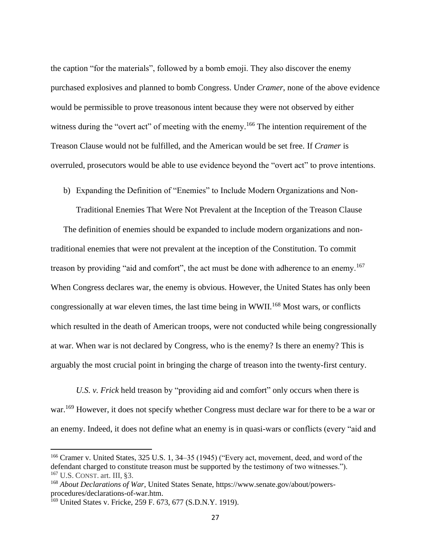the caption "for the materials", followed by a bomb emoji. They also discover the enemy purchased explosives and planned to bomb Congress. Under *Cramer*, none of the above evidence would be permissible to prove treasonous intent because they were not observed by either witness during the "overt act" of meeting with the enemy.<sup>166</sup> The intention requirement of the Treason Clause would not be fulfilled, and the American would be set free. If *Cramer* is overruled, prosecutors would be able to use evidence beyond the "overt act" to prove intentions.

<span id="page-30-0"></span>b) Expanding the Definition of "Enemies" to Include Modern Organizations and Non-

Traditional Enemies That Were Not Prevalent at the Inception of the Treason Clause

The definition of enemies should be expanded to include modern organizations and nontraditional enemies that were not prevalent at the inception of the Constitution. To commit treason by providing "aid and comfort", the act must be done with adherence to an enemy.<sup>167</sup> When Congress declares war, the enemy is obvious. However, the United States has only been congressionally at war eleven times, the last time being in WWII.<sup>168</sup> Most wars, or conflicts which resulted in the death of American troops, were not conducted while being congressionally at war. When war is not declared by Congress, who is the enemy? Is there an enemy? This is arguably the most crucial point in bringing the charge of treason into the twenty-first century.

*U.S. v. Frick* held treason by "providing aid and comfort" only occurs when there is war.<sup>169</sup> However, it does not specify whether Congress must declare war for there to be a war or an enemy. Indeed, it does not define what an enemy is in quasi-wars or conflicts (every "aid and

<sup>166</sup> Cramer v. United States, 325 U.S. 1, 34–35 (1945) ("Every act, movement, deed, and word of the defendant charged to constitute treason must be supported by the testimony of two witnesses."). <sup>167</sup> U.S. CONST. art. III, §3.

<sup>168</sup> *About Declarations of War*, United States Senate, https://www.senate.gov/about/powersprocedures/declarations-of-war.htm.

<sup>&</sup>lt;sup>169</sup> United States v. Fricke, 259 F. 673, 677 (S.D.N.Y. 1919).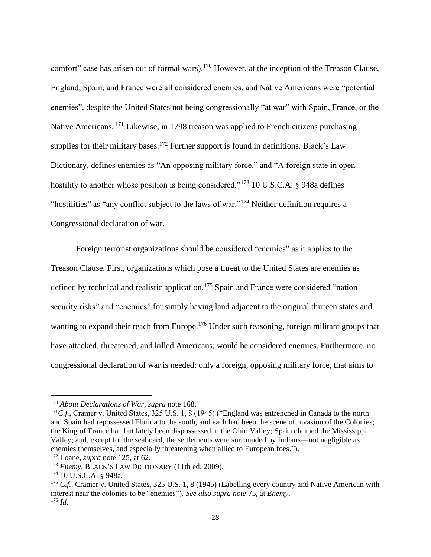comfort" case has arisen out of formal wars).<sup>170</sup> However, at the inception of the Treason Clause, England, Spain, and France were all considered enemies, and Native Americans were "potential enemies", despite the United States not being congressionally "at war" with Spain, France, or the Native Americans. <sup>171</sup> Likewise, in 1798 treason was applied to French citizens purchasing supplies for their military bases.<sup>172</sup> Further support is found in definitions. Black's Law Dictionary, defines enemies as "An opposing military force." and "A foreign state in open hostility to another whose position is being considered."<sup>173</sup> 10 U.S.C.A. § 948a defines "hostilities" as "any conflict subject to the laws of war."<sup>174</sup> Neither definition requires a Congressional declaration of war.

Foreign terrorist organizations should be considered "enemies" as it applies to the Treason Clause. First, organizations which pose a threat to the United States are enemies as defined by technical and realistic application.<sup>175</sup> Spain and France were considered "nation" security risks" and "enemies" for simply having land adjacent to the original thirteen states and wanting to expand their reach from Europe.<sup>176</sup> Under such reasoning, foreign militant groups that have attacked, threatened, and killed Americans, would be considered enemies. Furthermore, no congressional declaration of war is needed: only a foreign, opposing military force, that aims to

<sup>170</sup> *About Declarations of War*, *supra* note 168.

<sup>&</sup>lt;sup>171</sup>C.f., Cramer v. United States, 325 U.S. 1, 8 (1945) ("England was entrenched in Canada to the north and Spain had repossessed Florida to the south, and each had been the scene of invasion of the Colonies; the King of France had but lately been dispossessed in the Ohio Valley; Spain claimed the Mississippi Valley; and, except for the seaboard, the settlements were surrounded by Indians—not negligible as enemies themselves, and especially threatening when allied to European foes.").

<sup>172</sup> Loane, *supra* note 125, at 62.

<sup>173</sup> *Enemy*, BLACK'S LAW DICTIONARY (11th ed. 2009).

<sup>174</sup> 10 U.S.C.A. § 948a.

<sup>&</sup>lt;sup>175</sup> *C.f.*, Cramer v. United States, 325 U.S. 1, 8 (1945) (Labelling every country and Native American with interest near the colonies to be "enemies"). *See also supra note* 75, at *Enemy*.  $176$  *Id.*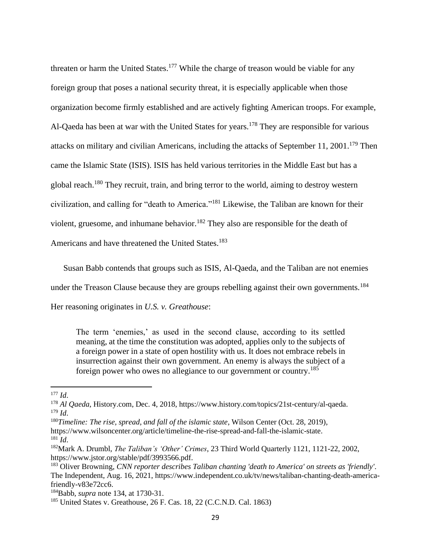threaten or harm the United States.<sup>177</sup> While the charge of treason would be viable for any foreign group that poses a national security threat, it is especially applicable when those organization become firmly established and are actively fighting American troops. For example, Al-Qaeda has been at war with the United States for years.<sup>178</sup> They are responsible for various attacks on military and civilian Americans, including the attacks of September 11, 2001.<sup>179</sup> Then came the Islamic State (ISIS). ISIS has held various territories in the Middle East but has a global reach.<sup>180</sup> They recruit, train, and bring terror to the world, aiming to destroy western civilization, and calling for "death to America." <sup>181</sup> Likewise, the Taliban are known for their violent, gruesome, and inhumane behavior.<sup>182</sup> They also are responsible for the death of Americans and have threatened the United States.<sup>183</sup>

Susan Babb contends that groups such as ISIS, Al-Qaeda, and the Taliban are not enemies under the Treason Clause because they are groups rebelling against their own governments.<sup>184</sup> Her reasoning originates in *U.S. v. Greathouse*:

The term 'enemies,' as used in the second clause, according to its settled meaning, at the time the constitution was adopted, applies only to the subjects of a foreign power in a state of open hostility with us. It does not embrace rebels in insurrection against their own government. An enemy is always the subject of a foreign power who owes no allegiance to our government or country.<sup>185</sup>

<sup>177</sup> *Id*.

<sup>178</sup> *Al Qaeda*, History.com, Dec. 4, 2018, https://www.history.com/topics/21st-century/al-qaeda. <sup>179</sup> *Id*.

<sup>180</sup>*Timeline: The rise, spread, and fall of the islamic state*, Wilson Center (Oct. 28, 2019), https://www.wilsoncenter.org/article/timeline-the-rise-spread-and-fall-the-islamic-state.  $^{181}$  *Id.* 

<sup>182</sup>Mark A. Drumbl, *The Taliban's 'Other' Crimes*, 23 Third World Quarterly 1121, 1121-22, 2002, https://www.jstor.org/stable/pdf/3993566.pdf.

<sup>183</sup> Oliver Browning, *CNN reporter describes Taliban chanting 'death to America' on streets as 'friendly'*. The Independent, Aug. 16, 2021, https://www.independent.co.uk/tv/news/taliban-chanting-death-americafriendly-v83e72cc6.

<sup>184</sup>Babb, *supra* note 134, at 1730-31.

<sup>&</sup>lt;sup>185</sup> United States v. Greathouse, 26 F. Cas. 18, 22 (C.C.N.D. Cal. 1863)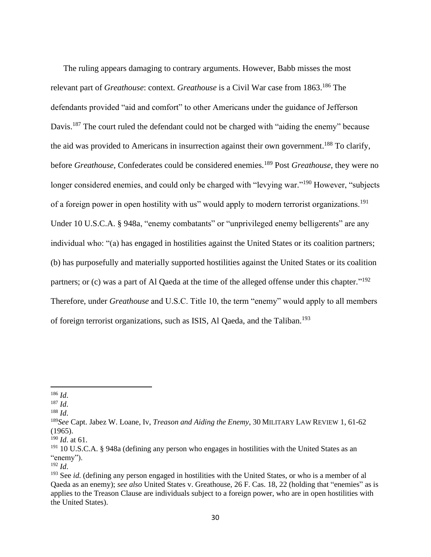The ruling appears damaging to contrary arguments. However, Babb misses the most relevant part of *Greathouse*: context. *Greathouse* is a Civil War case from 1863.<sup>186</sup> The defendants provided "aid and comfort" to other Americans under the guidance of Jefferson Davis.<sup>187</sup> The court ruled the defendant could not be charged with "aiding the enemy" because the aid was provided to Americans in insurrection against their own government.<sup>188</sup> To clarify, before *Greathouse*, Confederates could be considered enemies.<sup>189</sup> Post *Greathouse*, they were no longer considered enemies, and could only be charged with "levying war."<sup>190</sup> However, "subjects of a foreign power in open hostility with us" would apply to modern terrorist organizations.<sup>191</sup> Under 10 U.S.C.A. § 948a, "enemy combatants" or "unprivileged enemy belligerents" are any individual who: "(a) has engaged in hostilities against the United States or its coalition partners; (b) has purposefully and materially supported hostilities against the United States or its coalition partners; or (c) was a part of Al Qaeda at the time of the alleged offense under this chapter."<sup>192</sup> Therefore, under *Greathouse* and U.S.C. Title 10, the term "enemy" would apply to all members of foreign terrorist organizations, such as ISIS, Al Qaeda, and the Taliban.<sup>193</sup>

<sup>186</sup> *Id*.

<sup>187</sup> *Id*.

<sup>188</sup> *Id*.

<sup>189</sup>*See* Capt. Jabez W. Loane, Iv, *Treason and Aiding the Enemy*, 30 MILITARY LAW REVIEW 1, 61-62 (1965).

<sup>190</sup> *Id*. at 61.

<sup>&</sup>lt;sup>191</sup> 10 U.S.C.A. § 948a (defining any person who engages in hostilities with the United States as an "enemy").

<sup>192</sup> *Id*.

<sup>193</sup> See *id*. (defining any person engaged in hostilities with the United States, or who is a member of al Qaeda as an enemy); *see also* United States v. Greathouse, 26 F. Cas. 18, 22 (holding that "enemies" as is applies to the Treason Clause are individuals subject to a foreign power, who are in open hostilities with the United States).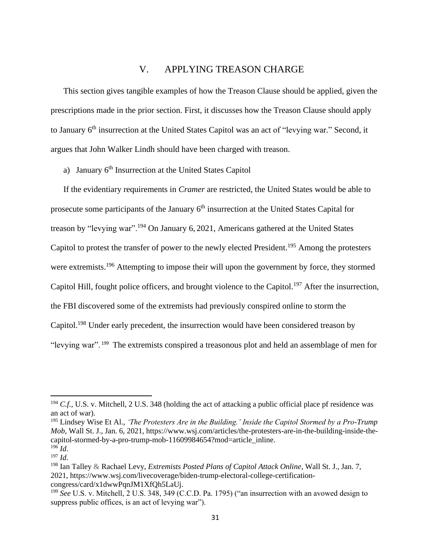# V. APPLYING TREASON CHARGE

<span id="page-34-0"></span>This section gives tangible examples of how the Treason Clause should be applied, given the prescriptions made in the prior section. First, it discusses how the Treason Clause should apply to January 6<sup>th</sup> insurrection at the United States Capitol was an act of "levying war." Second, it argues that John Walker Lindh should have been charged with treason.

<span id="page-34-1"></span>a) January 6<sup>th</sup> Insurrection at the United States Capitol

If the evidentiary requirements in *Cramer* are restricted, the United States would be able to prosecute some participants of the January  $6<sup>th</sup>$  insurrection at the United States Capital for treason by "levying war".<sup>194</sup> On January 6, 2021, Americans gathered at the United States Capitol to protest the transfer of power to the newly elected President.<sup>195</sup> Among the protesters were extremists.<sup>196</sup> Attempting to impose their will upon the government by force, they stormed Capitol Hill, fought police officers, and brought violence to the Capitol.<sup>197</sup> After the insurrection, the FBI discovered some of the extremists had previously conspired online to storm the Capitol.<sup>198</sup> Under early precedent, the insurrection would have been considered treason by "levying war". <sup>199</sup> The extremists conspired a treasonous plot and held an assemblage of men for

<sup>&</sup>lt;sup>194</sup> *C.f.*, U.S. v. Mitchell, 2 U.S. 348 (holding the act of attacking a public official place pf residence was an act of war).

<sup>195</sup> Lindsey Wise Et Al., *'The Protesters Are in the Building.' Inside the Capitol Stormed by a Pro-Trump Mob*, Wall St. J., Jan. 6, 2021, https://www.wsj.com/articles/the-protesters-are-in-the-building-inside-thecapitol-stormed-by-a-pro-trump-mob-11609984654?mod=article\_inline. <sup>196</sup> *Id*.

<sup>197</sup> *Id*.

<sup>198</sup> Ian Talley & Rachael Levy, *Extremists Posted Plans of Capitol Attack Online*, Wall St. J., Jan. 7, 2021, https://www.wsj.com/livecoverage/biden-trump-electoral-college-certificationcongress/card/x1dwwPqnJM1XfQh5LaUj.

<sup>199</sup> *See* U.S. v. Mitchell, 2 U.S. 348, 349 (C.C.D. Pa. 1795) ("an insurrection with an avowed design to suppress public offices, is an act of levying war").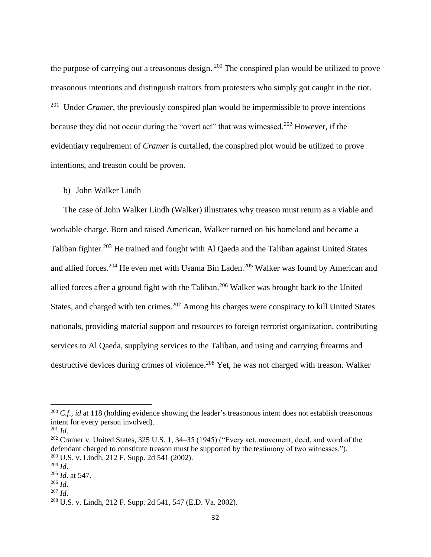the purpose of carrying out a treasonous design.  $200$  The conspired plan would be utilized to prove treasonous intentions and distinguish traitors from protesters who simply got caught in the riot. Under *Cramer*, the previously conspired plan would be impermissible to prove intentions because they did not occur during the "overt act" that was witnessed.<sup>202</sup> However, if the evidentiary requirement of *Cramer* is curtailed, the conspired plot would be utilized to prove intentions, and treason could be proven.

#### <span id="page-35-0"></span>b) John Walker Lindh

The case of John Walker Lindh (Walker) illustrates why treason must return as a viable and workable charge. Born and raised American, Walker turned on his homeland and became a Taliban fighter.<sup>203</sup> He trained and fought with Al Qaeda and the Taliban against United States and allied forces.<sup>204</sup> He even met with Usama Bin Laden.<sup>205</sup> Walker was found by American and allied forces after a ground fight with the Taliban.<sup>206</sup> Walker was brought back to the United States, and charged with ten crimes.<sup>207</sup> Among his charges were conspiracy to kill United States nationals, providing material support and resources to foreign terrorist organization, contributing services to Al Qaeda, supplying services to the Taliban, and using and carrying firearms and destructive devices during crimes of violence.<sup>208</sup> Yet, he was not charged with treason. Walker

<sup>&</sup>lt;sup>200</sup> *C.f., id* at 118 (holding evidence showing the leader's treasonous intent does not establish treasonous intent for every person involved).

 $^{201}$  *Id.* 

 $202$  Cramer v. United States, 325 U.S. 1, 34–35 (1945) ("Every act, movement, deed, and word of the defendant charged to constitute treason must be supported by the testimony of two witnesses."). <sup>203</sup> U.S. v. Lindh, 212 F. Supp. 2d 541 (2002).

 $^{204}$  *Id*.

<sup>205</sup> *Id*. at 547.

<sup>206</sup> *Id*.

 $^{207}$  *Id.* 

<sup>208</sup> U.S. v. Lindh, 212 F. Supp. 2d 541, 547 (E.D. Va. 2002).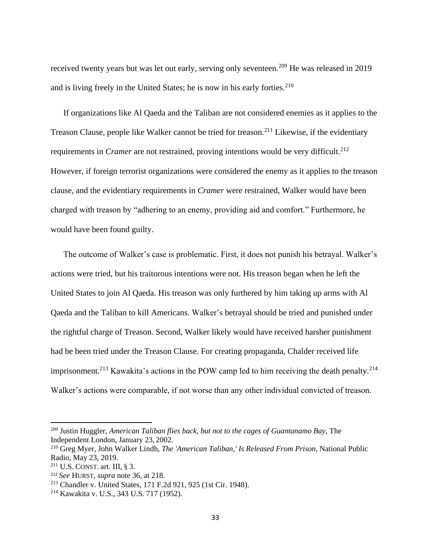received twenty years but was let out early, serving only seventeen.<sup>209</sup> He was released in 2019 and is living freely in the United States; he is now in his early forties.<sup>210</sup>

If organizations like Al Qaeda and the Taliban are not considered enemies as it applies to the Treason Clause, people like Walker cannot be tried for treason.<sup>211</sup> Likewise, if the evidentiary requirements in *Cramer* are not restrained, proving intentions would be very difficult.<sup>212</sup> However, if foreign terrorist organizations were considered the enemy as it applies to the treason clause, and the evidentiary requirements in *Cramer* were restrained, Walker would have been charged with treason by "adhering to an enemy, providing aid and comfort." Furthermore, he would have been found guilty.

The outcome of Walker's case is problematic. First, it does not punish his betrayal. Walker's actions were tried, but his traitorous intentions were not. His treason began when he left the United States to join Al Qaeda. His treason was only furthered by him taking up arms with Al Qaeda and the Taliban to kill Americans. Walker's betrayal should be tried and punished under the rightful charge of Treason. Second, Walker likely would have received harsher punishment had be been tried under the Treason Clause. For creating propaganda, Chalder received life imprisonment.<sup>213</sup> Kawakita's actions in the POW camp led to him receiving the death penalty.<sup>214</sup> Walker's actions were comparable, if not worse than any other individual convicted of treason.

<sup>209</sup> Justin Huggler, *American Taliban flies back, but not to the cages of Guantanamo Bay*, The Independent London, January 23, 2002.

<sup>210</sup> Greg Myer, John Walker Lindh, *The 'American Taliban,' Is Released From Prison*, National Public Radio, May 23, 2019.

<sup>&</sup>lt;sup>211</sup> U.S. CONST. art. III,  $\S$  3.

<sup>212</sup> *See* HURST, *supra* note 36, at 218.

<sup>213</sup> Chandler v. United States, 171 F.2d 921, 925 (1st Cir. 1948).

<sup>214</sup> Kawakita v. U.S., 343 U.S. 717 (1952).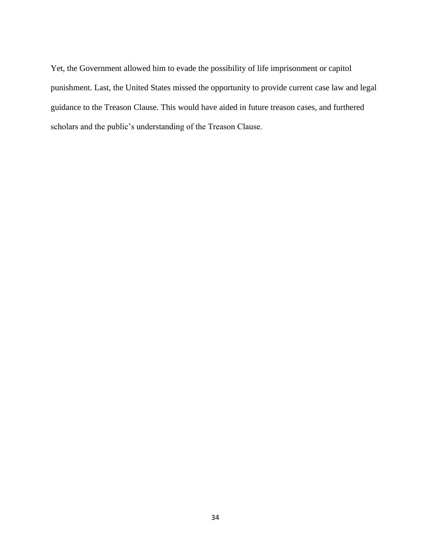Yet, the Government allowed him to evade the possibility of life imprisonment or capitol punishment. Last, the United States missed the opportunity to provide current case law and legal guidance to the Treason Clause. This would have aided in future treason cases, and furthered scholars and the public's understanding of the Treason Clause.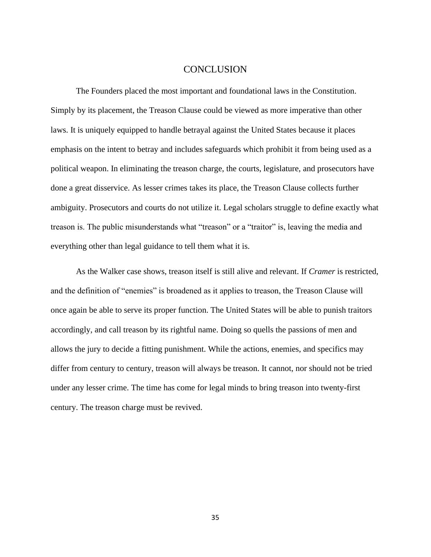### **CONCLUSION**

<span id="page-38-0"></span>The Founders placed the most important and foundational laws in the Constitution. Simply by its placement, the Treason Clause could be viewed as more imperative than other laws. It is uniquely equipped to handle betrayal against the United States because it places emphasis on the intent to betray and includes safeguards which prohibit it from being used as a political weapon. In eliminating the treason charge, the courts, legislature, and prosecutors have done a great disservice. As lesser crimes takes its place, the Treason Clause collects further ambiguity. Prosecutors and courts do not utilize it. Legal scholars struggle to define exactly what treason is. The public misunderstands what "treason" or a "traitor" is, leaving the media and everything other than legal guidance to tell them what it is.

As the Walker case shows, treason itself is still alive and relevant. If *Cramer* is restricted, and the definition of "enemies" is broadened as it applies to treason, the Treason Clause will once again be able to serve its proper function. The United States will be able to punish traitors accordingly, and call treason by its rightful name. Doing so quells the passions of men and allows the jury to decide a fitting punishment. While the actions, enemies, and specifics may differ from century to century, treason will always be treason. It cannot, nor should not be tried under any lesser crime. The time has come for legal minds to bring treason into twenty-first century. The treason charge must be revived.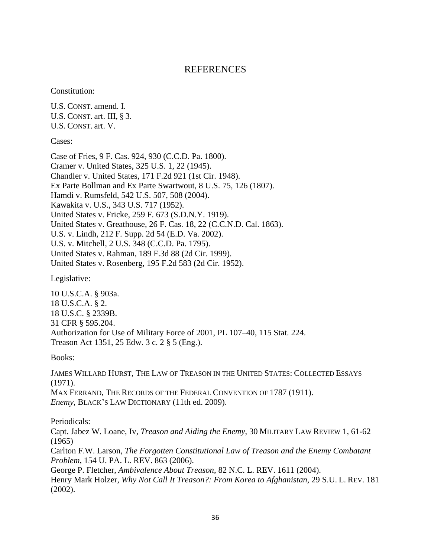# REFERENCES

<span id="page-39-0"></span>Constitution:

U.S. CONST. amend. I. U.S. CONST. art. III, § 3. U.S. CONST. art. V.

Cases:

Case of Fries, 9 F. Cas. 924, 930 (C.C.D. Pa. 1800). Cramer v. United States, 325 U.S. 1, 22 (1945). Chandler v. United States, 171 F.2d 921 (1st Cir. 1948). Ex Parte Bollman and Ex Parte Swartwout, 8 U.S. 75, 126 (1807). Hamdi v. Rumsfeld, 542 U.S. 507, 508 (2004). Kawakita v. U.S., 343 U.S. 717 (1952). United States v. Fricke, 259 F. 673 (S.D.N.Y. 1919). United States v. Greathouse, 26 F. Cas. 18, 22 (C.C.N.D. Cal. 1863). U.S. v. Lindh, 212 F. Supp. 2d 54 (E.D. Va. 2002). U.S. v. Mitchell, 2 U.S. 348 (C.C.D. Pa. 1795). United States v. Rahman, 189 F.3d 88 (2d Cir. 1999). United States v. Rosenberg, 195 F.2d 583 (2d Cir. 1952).

Legislative:

10 U.S.C.A. § 903a. 18 U.S.C.A. § 2. 18 U.S.C. § 2339B. 31 CFR § 595.204. Authorization for Use of Military Force of 2001, PL 107–40, 115 Stat. 224. Treason Act 1351, 25 Edw. 3 c. 2 § 5 (Eng.).

Books:

JAMES WILLARD HURST, THE LAW OF TREASON IN THE UNITED STATES: COLLECTED ESSAYS (1971). MAX FERRAND, THE RECORDS OF THE FEDERAL CONVENTION OF 1787 (1911). *Enemy*, BLACK'S LAW DICTIONARY (11th ed. 2009).

Periodicals:

Capt. Jabez W. Loane, Iv, *Treason and Aiding the Enemy*, 30 MILITARY LAW REVIEW 1, 61-62 (1965)

Carlton F.W. Larson, *The Forgotten Constitutional Law of Treason and the Enemy Combatant Problem*, 154 U. PA. L. REV. 863 (2006).

George P. Fletcher, *Ambivalence About Treason*, 82 N.C. L. REV. 1611 (2004).

Henry Mark Holzer, *Why Not Call It Treason?: From Korea to Afghanistan*, 29 S.U. L. REV. 181 (2002).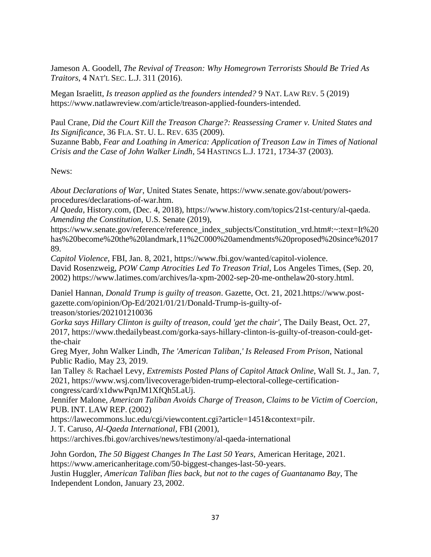Jameson A. Goodell, *The Revival of Treason: Why Homegrown Terrorists Should Be Tried As Traitors*, 4 NAT'L SEC. L.J. 311 (2016).

Megan Israelitt, *Is treason applied as the founders intended?* 9 NAT. LAW REV. 5 (2019) https://www.natlawreview.com/article/treason-applied-founders-intended.

Paul Crane, *Did the Court Kill the Treason Charge?: Reassessing Cramer v. United States and Its Significance,* 36 FLA. ST. U. L. REV. 635 (2009).

Suzanne Babb, *Fear and Loathing in America: Application of Treason Law in Times of National Crisis and the Case of John Walker Lindh*, 54 HASTINGS L.J. 1721, 1734-37 (2003).

News:

*About Declarations of War*, United States Senate, https://www.senate.gov/about/powersprocedures/declarations-of-war.htm.

*Al Qaeda*, History.com, (Dec. 4, 2018), https://www.history.com/topics/21st-century/al-qaeda. *Amending the Constitution*, U.S. Senate (2019),

https://www.senate.gov/reference/reference\_index\_subjects/Constitution\_vrd.htm#:~:text=It%20 has%20become%20the%20landmark,11%2C000%20amendments%20proposed%20since%2017 89.

*Capitol Violence*, FBI, Jan. 8, 2021, https://www.fbi.gov/wanted/capitol-violence. David Rosenzweig, *POW Camp Atrocities Led To Treason Trial*, Los Angeles Times, (Sep. 20, 2002) https://www.latimes.com/archives/la-xpm-2002-sep-20-me-onthelaw20-story.html.

Daniel Hannan*, Donald Trump is guilty of treason*. Gazette, Oct. 21, 2021.https://www.postgazette.com/opinion/Op-Ed/2021/01/21/Donald-Trump-is-guilty-oftreason/stories/202101210036

*Gorka says Hillary Clinton is guilty of treason, could 'get the chair'*, The Daily Beast, Oct. 27, 2017, https://www.thedailybeast.com/gorka-says-hillary-clinton-is-guilty-of-treason-could-getthe-chair

Greg Myer, John Walker Lindh, *The 'American Taliban,' Is Released From Prison*, National Public Radio, May 23, 2019.

Ian Talley & Rachael Levy, *Extremists Posted Plans of Capitol Attack Online*, Wall St. J., Jan. 7, 2021, https://www.wsj.com/livecoverage/biden-trump-electoral-college-certificationcongress/card/x1dwwPqnJM1XfQh5LaUj.

Jennifer Malone, *American Taliban Avoids Charge of Treason, Claims to be Victim of Coercion*, PUB. INT. LAW REP. (2002)

https://lawecommons.luc.edu/cgi/viewcontent.cgi?article=1451&context=pilr.

J. T. Caruso, *Al-Qaeda International*, FBI (2001),

https://archives.fbi.gov/archives/news/testimony/al-qaeda-international

John Gordon, *The 50 Biggest Changes In The Last 50 Years,* American Heritage, 2021. https://www.americanheritage.com/50-biggest-changes-last-50-years.

Justin Huggler, *American Taliban flies back, but not to the cages of Guantanamo Bay*, The Independent London, January 23, 2002.